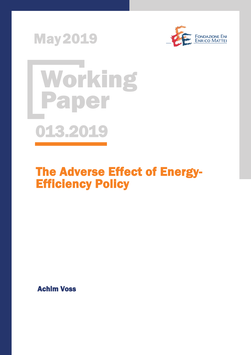





# The Adverse Effect of Energy-Efficiency Policy

Achim Voss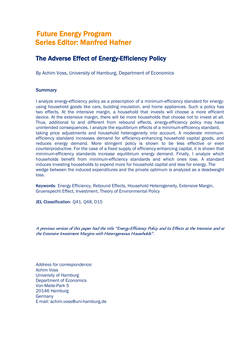## Future Energy Program Series Editor: Manfred Hafner

## The Adverse Effect of Energy-Efficiency Policy

By Achim Voss, University of Hamburg, Department of Economics

#### **Summary**

I analyze energy-efficiency policy as a prescription of a minimum-efficiency standard for energyusing household goods like cars, building insulation, and home appliances. Such a policy has two effects. At the intensive margin, a household that invests will choose a more efficient device. At the extensive margin, there will be more households that choose not to invest at all. Thus, additional to and different from rebound effects, energy-efficiency policy may have unintended consequences. I analyze the equilibrium effects of a minimum-efficiency standard, taking price adjustments and household heterogeneity into account. A moderate minimumefficiency standard increases demand for efficiency-enhancing household capital goods, and reduces energy demand. More stringent policy is shown to be less effective or even counterproductive. For the case of a fixed supply of efficiency-enhancing capital, it is shown that minimum-efficiency standards increase equilibrium energy demand. Finally, I analyze which households benefit from minimum-efficiency standards and which ones lose. A standard induces investing households to expend more for household capital and less for energy. The wedge between the induced expenditures and the private optimum is analyzed as a deadweight loss.

Keywords: Energy Efficiency, Rebound Effects, Household Heterogeneity, Extensive Margin, Gruenspecht Effect, Investment, Theory of Environmental Policy

JEL Classification: 041, 048, D15

A previous version of this paper had the title "Energy-Efficiency Policy and its Effects at the Intensive and at the Extensive Investment Margins with Heterogeneous Households".

*Address for correspondence:* Achim Voss University of Hamburg Department of Economics Von-Melle-Park 5 20146 Hamburg Germany E-mail: achim.voss@uni-hamburg.de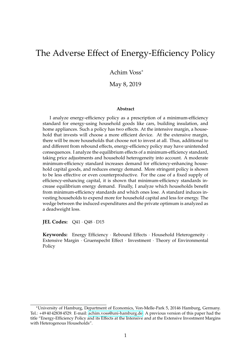## The Adverse Effect of Energy-Efficiency Policy

Achim Voss<sup>∗</sup>

May 8, 2019

#### **Abstract**

I analyze energy-efficiency policy as a prescription of a minimum-efficiency standard for energy-using household goods like cars, building insulation, and home appliances. Such a policy has two effects. At the intensive margin, a household that invests will choose a more efficient device. At the extensive margin, there will be more households that choose not to invest at all. Thus, additional to and different from rebound effects, energy-efficiency policy may have unintended consequences. I analyze the equilibrium effects of a minimum-efficiency standard, taking price adjustments and household heterogeneity into account. A moderate minimum-efficiency standard increases demand for efficiency-enhancing household capital goods, and reduces energy demand. More stringent policy is shown to be less effective or even counterproductive. For the case of a fixed supply of efficiency-enhancing capital, it is shown that minimum-efficiency standards increase equilibrium energy demand. Finally, I analyze which households benefit from minimum-efficiency standards and which ones lose. A standard induces investing households to expend more for household capital and less for energy. The wedge between the induced expenditures and the private optimum is analyzed as a deadweight loss.

**JEL Codes:** Q41 · Q48 · D15

**Keywords:** Energy Efficiency · Rebound Effects · Household Heterogeneity · Extensive Margin · Gruenspecht Effect · Investment · Theory of Environmental Policy

<sup>∗</sup>University of Hamburg, Department of Economics, Von-Melle-Park 5, 20146 Hamburg, Germany. Tel.: +49 40 42838 4529. E-mail: [achim.voss@uni-hamburg.de.](mailto:achim.voss@uni-hamburg.de) A previous version of this paper had the title "Energy-Efficiency Policy and its Effects at the Intensive and at the Extensive Investment Margins with Heterogenous Households".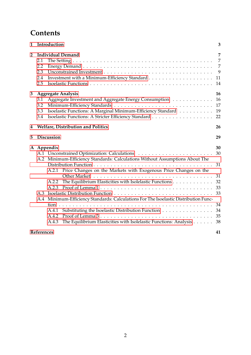## **Contents**

| 1                                                                           | Introduction                                                                                                                                                                                                                                                                                                                                                                                                                                                                                           |                                                                |  |  |  |  |  |  |
|-----------------------------------------------------------------------------|--------------------------------------------------------------------------------------------------------------------------------------------------------------------------------------------------------------------------------------------------------------------------------------------------------------------------------------------------------------------------------------------------------------------------------------------------------------------------------------------------------|----------------------------------------------------------------|--|--|--|--|--|--|
| <b>Individual Demand</b><br>$\mathbf{2}$<br>2.1<br>2.2<br>2.3<br>2.4<br>2.5 |                                                                                                                                                                                                                                                                                                                                                                                                                                                                                                        |                                                                |  |  |  |  |  |  |
| 3                                                                           | <b>Aggregate Analysis</b><br>Aggregate Investment and Aggregate Energy Consumption<br>3.1<br>3.2<br>Isoelastic Functions: A Marginal Minimum-Efficiency Standard<br>3.3<br>3.4                                                                                                                                                                                                                                                                                                                         | 16<br>16<br>17<br>19<br>22                                     |  |  |  |  |  |  |
| 4                                                                           | Welfare, Distribution and Politics<br>26                                                                                                                                                                                                                                                                                                                                                                                                                                                               |                                                                |  |  |  |  |  |  |
| 5                                                                           | <b>Discussion</b>                                                                                                                                                                                                                                                                                                                                                                                                                                                                                      |                                                                |  |  |  |  |  |  |
|                                                                             | A Appendix<br>A.2 Minimum-Efficiency Standards: Calculations Without Assumptions About The<br>A.2.1 Price Changes on the Markets with Exogenous Price Changes on the<br>The Equilibrium Elasticities with Isolelastic Functions<br>A.2.2<br>A.2.3<br>A.4 Minimum-Efficiency Standards: Calculations For The Isoelastic Distribution Func-<br>tion<br>Substituting the Isoelastic Distribution Function<br>A.4.1<br>A.4.2<br>The Equilibrium Elasticities with Isolelastic Functions: Analysis<br>A.4.3 | 30<br>30<br>31<br>31<br>32<br>33<br>33<br>34<br>34<br>35<br>38 |  |  |  |  |  |  |
|                                                                             | References                                                                                                                                                                                                                                                                                                                                                                                                                                                                                             | 41                                                             |  |  |  |  |  |  |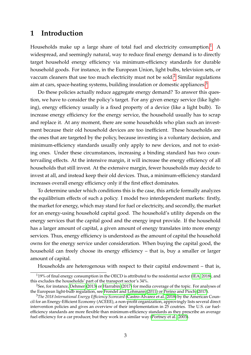## <span id="page-4-0"></span>**1 Introduction**

Households make up a large share of total fuel and electricity consumption.<sup>[1](#page-4-1)</sup> A widespread, and seemingly natural, way to reduce final energy demand is to directly target household energy efficiency via minimum-efficiency standards for durable household goods. For instance, in the European Union, light bulbs, television sets, or vaccum cleaners that use too much electricity must not be sold.<sup>[2](#page-4-2)</sup> Similar regulations aim at cars, space-heating systems, building insulation or domestic appliances.<sup>[3](#page-4-3)</sup>

Do these policies actually reduce aggregate energy demand? To answer this question, we have to consider the policy's target. For any given energy service (like lighting), energy efficiency usually is a fixed property of a device (like a light bulb). To increase energy efficiency for the energy service, the household usually has to scrap and replace it. At any moment, there are some households who plan such an investment because their old household devices are too inefficient. These households are the ones that are targeted by the policy, because investing is a voluntary decision, and minimum-efficiency standards usually only apply to new devices, and not to existing ones. Under these circumstances, increasing a binding standard has two countervailing effects. At the intensive margin, it will increase the energy efficiency of all households that still invest. At the extensive margin, fewer households may decide to invest at all, and instead keep their old devices. Thus, a minimum-efficiency standard increases overall energy efficiency only if the first effect dominates.

To determine under which conditions this is the case, this article formally analyzes the equilibrium effects of such a policy. I model two interdependent markets: firstly, the market for energy, which may stand for fuel or electricity, and secondly, the market for an energy-using household capital good. The household's utility depends on the energy services that the capital good and the energy input provide. If the household has a larger amount of capital, a given amount of energy translates into more energy services. Thus, energy efficiency is understood as the amount of capital the household owns for the energy service under consideration. When buying the capital good, the household can freely choose its energy efficiency – that is, buy a smaller or larger amount of capital.

Households are heterogenous with respect to their capital endowment – that is,

<span id="page-4-1"></span> $119\%$  of final energy consumption in the OECD is attributed to the residential sector [\(IEA, 2018\)](#page-42-0), and this excludes the households' part of the transport sector's 34%.

<span id="page-4-2"></span> $2$ See, for instance, [Dehmer](#page-41-0) [\(2013\)](#page-41-0) or [Harrabin](#page-41-1) [\(2017\)](#page-41-1) for media coverage of the topic. For analyses of the European light-bulb regulation, see [Frondel and Lohmann](#page-41-2) [\(2011\)](#page-41-2) or [Perino and Pioch](#page-42-1) [\(2017\)](#page-42-1).

<span id="page-4-3"></span><sup>3</sup>*The 2018 International Energy Efficiency Scorecard* [\(Castro-Alvarez et al., 2018\)](#page-41-3) by the American Council for an Energy-Efficient Economy (ACEEE), a non-profit organization, approvingly lists several direct intervention policies and gives an overview of their implementation in 25 coutries. The U.S. car fuelefficiency standards are more flexible than minimum-efficiency standards as they prescribe an average fuel efficiency for a car producer, but they work in a similar way [\(Portney et al., 2003\)](#page-42-2).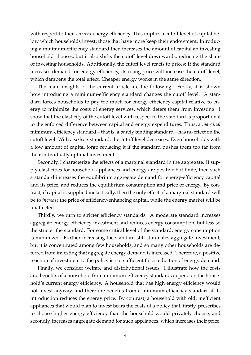with respect to their *current* energy efficiency. This implies a cutoff level of capital below which households invest; those that have more keep their endowment. Introducing a minimum-efficiency standard then increases the amount of capital an investing household chooses, but it also shifts the cutoff level downwards, reducing the share of investing households. Additionally, the cutoff level reacts to prices: If the standard increases demand for energy efficiency, its rising price will increase the cutoff level, which dampens the total effect. Cheaper energy works in the same direction.

The main insights of the current article are the following. Firstly, it is shown how introducing a minimum-efficiency standard changes the cutoff level. A standard forces households to pay too much for energy-efficiency capital relative to energy to minimize the costs of energy services, which deters them from investing. I show that the elasticity of the cutoff level with respect to the standard is proportional to the enforced difference between capital and energy expenditures. Thus, a *marginal* minimum-efficiency standard – that is, a barely binding standard – has no effect on the cutoff level. With a *stricter* standard, the cutoff level decreases: Even households with a low amount of capital forgo replacing it if the standard pushes them too far from their individually optimal investment.

Secondly, I characterize the effects of a marginal standard in the aggregate. If supply elasticities for household appliances and energy are positive but finite, then such a standard increases the equilibrium aggregate demand for energy-efficiency capital and its price, and reduces the equilibrium consumption and price of energy. By contrast, if capital is supplied inelastically, then the only effect of a marginal standard will be to *increase* the price of efficiency-enhancing capital, while the energy market will be unaffected.

Thirdly, we turn to stricter efficiency standards. A moderate standard increases aggregate energy-efficiency investment and reduces energy consumption, but less so the stricter the standard. For some critical level of the standard, energy consumption is minimized. Further increasing the standard still stimulates aggregate investment, but it is concentrated among few households, and so many other households are deterred from investing that aggregate energy demand is increased. Therefore, a positive reaction of investment to the policy is not sufficient for a reduction of energy demand.

Finally, we consider welfare and distributional issues. I illustrate how the costs and benefits of a household from minimum-efficiency standards depend on the household's current energy efficiency. A household that has high energy efficiency would not invest anyway, and therefore benefits from a minimum-efficiency standard if its introduction reduces the energy price. By contrast, a household with old, inefficient appliances that would plan to invest bears the costs of a policy that, firstly, prescribes to choose higher energy efficiency than the household would privately choose, and secondly, increases aggregate demand for such appliances, which increases their price.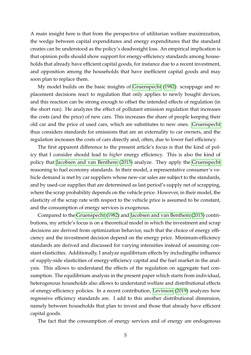A main insight here is that from the perspective of utilitarian welfare maximization, the wedge between capital expenditures and energy expenditures that the standard creates can be understood as the policy's deadweight loss. An empirical implication is that opinion polls should show support for energy-efficiency standards among households that already have efficient capital goods, for instance due to a recent investment, and opposition among the households that have inefficient capital goods and may soon plan to replace them.

My model builds on the basic insights of [Gruenspecht](#page-41-4) [\(1982\)](#page-41-4): scrappage and replacement decisions react to regulation that only applies to newly bought devices, and this reaction can be strong enough to offset the intended effects of regulation (in the short run). He analyzes the effect of pollutant emission regulation that increases the costs (and the price) of new cars. This increases the share of people keeping their old car and the price of used cars, which are substitutes to new ones. [Gruenspecht](#page-41-4) thus considers standards for emissions that are an externality to car owners, and the regulation increases the costs of cars directly and, often, due to lower fuel efficiency.

The first apparent difference to the present article's focus is that the kind of policy that I consider should lead to *higher* energy efficiency. This is also the kind of policy that [Jacobsen and van Benthem](#page-42-3) [\(2015\)](#page-42-3) analyze. They apply the [Gruenspecht](#page-41-4) reasoning to fuel economy standards. In their model, a representative consumer's vehicle demand is met by car suppliers whose new-car sales are subject to the standards, and by used-car supplies that are determined as last period's supply net of scrapping, where the scrap probability depends on the vehicle price. However, in their model, the elasticity of the scrap rate with respect to the vehicle price is assumed to be constant, and the consumption of energy services is exogenous.

Compared to the [Gruenspecht](#page-41-4) [\(1982\)](#page-41-4) and [Jacobsen and van Benthem](#page-42-3) [\(2015\)](#page-42-3) contributions, my article's focus is on a theoretical model in which the investment and scrap decisions are derived from optimization behavior, such that the choice of energy efficiency and the investment decision depend on the energy price. Minimum-efficiency standards are derived and discussed for varying intensities instead of assuming constant elasticities. Additionally, I analyze equilibrium effects by includingthe influence of supply-side elasticities of energy-efficiency capital and the fuel market in the analysis. This allows to understand the effects of the regulation on aggregate fuel consumption. The equilibrium analysis in the present paper which starts from individual, heterogenous households also allows to understand welfare and distributional effects of energy-efficiency policies. In a recent contribution, [Levinson](#page-42-4) [\(2019\)](#page-42-4) analyzes how regressive efficiency standards are. I add to this another distributional dimension, namely between households that plan to invest and those that already have efficient capital goods.

The fact that the consumption of energy services and of energy are endogenous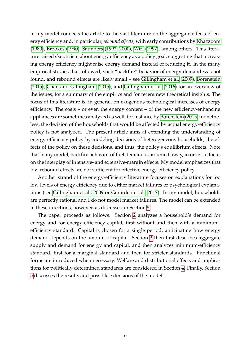in my model connects the article to the vast literature on the aggregate effects of energy efficiency and, in particular, *rebound effects*, with early contributions by [Khazzoom](#page-42-5) [\(1980\)](#page-42-5), [Brookes](#page-41-5) [\(1990\)](#page-41-5), [Saunders](#page-42-6) [\(1992,](#page-42-6) [2000\)](#page-42-7), [Wirl](#page-42-8) [\(1997\)](#page-42-8), among others. This literature raised skepticism about energy efficiency as a policy goal, suggesting that increasing energy efficiency might raise energy demand instead of reducing it. In the many empirical studies that followed, such "backfire" behavior of energy demand was not found, and rebound effects are likely small – see [Gillingham et al.](#page-41-6) [\(2009\)](#page-41-6), [Borenstein](#page-41-7) [\(2015\)](#page-41-7), [Chan and Gillingham](#page-41-8) [\(2015\)](#page-41-8), and [Gillingham et al.](#page-41-9) [\(2016\)](#page-41-9) for an overview of the issues, for a summary of the empirics and for recent new theoretical insights. The focus of this literature is, in general, on exogenous technological increases of energy efficiency. The costs – or even the energy content – of the new efficiency-enhancing appliances are sometimes analyzed as well, for instance by [Borenstein](#page-41-7) [\(2015\)](#page-41-7); nonetheless, the decision of the households that would be affected by actual energy-efficiency policy is not analyzed. The present article aims at extending the understanding of energy-efficiency policy by modeling decisions of heterogeneous households, the effects of the policy on these decisions, and thus, the policy's equilibrium effects. Note that in my model, backfire behavior of fuel demand is assumed away, in order to focus on the interplay of intensive- and extensive-margin effects. My model emphasizes that low rebound effects are not sufficient for effective energy-efficiency policy.

Another strand of the energy-efficiency literature focuses on explanations for too low levels of energy efficiency due to either market failures or psychological explanations (see [Gillingham et al., 2009](#page-41-6) or [Gerarden et al., 2017\)](#page-41-10). In my model, households are perfectly rational and I do not model market failures. The model can be extended in these directions, however, as discussed in Section [5.](#page-30-0)

The paper proceeds as follows. Section [2](#page-8-0) analyzes a household's demand for energy and for energy-efficiency capital, first without and then with a minimumefficiency standard. Capital is chosen for a single period, anticipating how energy demand depends on the amount of capital. Section [3](#page-17-0) then first describes aggregate supply and demand for energy and capital, and then analyzes minimum-efficiency standard, first for a marginal standard and then for stricter standards. Functional forms are introduced when necessary. Welfare and distributional effects and implications for politically determined standards are considered in Section [4.](#page-27-0) Finally, Section [5](#page-30-0) discusses the results and possible extensions of the model.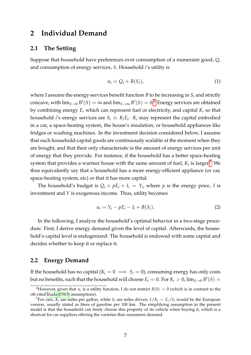## <span id="page-8-0"></span>**2 Individual Demand**

## <span id="page-8-1"></span>**2.1 The Setting**

Suppose that household have preferences over consumption of a numeraire good, *Q*, and consumption of energy services, *S*. Household *i*'s utility is

$$
u_i = Q_i + B(S_i), \tag{1}
$$

where I assume the energy-services benefit function *B* to be increasing in *S<sup>i</sup>* and strictly concave, with  $\lim_{S\to 0}$   $B'(S) = \infty$  and  $\lim_{S\to \infty}$   $B'(S) = 0$ .<sup>[4](#page-8-3)</sup> Energy services are obtained by combining energy *E*, which can represent fuel or electricity, and capital *K*, so that household *i*'s energy services are  $S_i \equiv K_i E_i$ .  $K_i$  may represent the capital embodied in a car, a space-heating system, the house's insulation, or household appliances like fridges or washing machines. In the investment decision considered below, I assume that such household-capital goods are continuously scalable at the moment when they are bought, and that their only characteristic is the amount of energy services per unit of energy that they provide. For instance, if the household has a better space-heating system that provides a warmer house with the same amount of fuel,  $K_i$  is larger.<sup>[5](#page-8-4)</sup> We thus equivalently say that a household has a more energy-efficient appliance (or car, space-heating system, etc) or that it has more capital.

The household's budget is  $Q_i + pE_i + I_i = Y_i$ , where p is the energy price, I is investment and *Y* is exogenous income. Thus, utility becomes

<span id="page-8-5"></span>
$$
u_i = Y_i - pE_i - I_i + B(S_i). \tag{2}
$$

In the following, I analyze the household's optimal behavior in a two-stage procedure. First, I derive energy demand given the level of capital. Afterwards, the household's capital level is endogenized: The household is endowed with some capital and decides whether to keep it or replace it.

### <span id="page-8-2"></span>**2.2 Energy Demand**

If the household has no capital  $(K_i = 0 \implies S_i = 0)$ , consuming energy has only costs but no benefits, such that the household will choose  $E_i = 0$ . For  $K_i > 0$ ,  $\lim_{S \to 0} B'(S) = 0$ 

<span id="page-8-3"></span><sup>&</sup>lt;sup>4</sup>However, given that  $u_i$  is a utility function, I do not restrict  $B(0) = 0$  (which is in contrast to the oft-cited [Inada](#page-42-9) [\(1963\)](#page-42-9) assumptions).

<span id="page-8-4"></span><sup>&</sup>lt;sup>5</sup>For cars,  $K_i$  are miles per gallon, while  $S_i$  are miles driven;  $1/K_i = E_i/S_i$  would be the European version, usually stated as liters of gasoline per 100 km. The simplifying assumption in the present model is that the household can freely choose this property of its vehicle when buying it, which is a shortcut for car suppliers offering the varieties that consumers demand.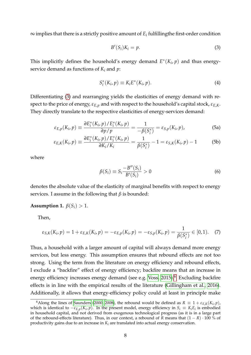$\infty$  implies that there is a strictly positive amount of  $E_i$  fulfillingthe first-order condition

<span id="page-9-3"></span><span id="page-9-0"></span>
$$
B'(S_i)K_i = p. \t\t(3)
$$

This implicitly defines the household's energy demand  $E^*(K_i, p)$  and thus energyservice demand as functions of *K<sup>i</sup>* and *p*:

<span id="page-9-5"></span>
$$
S_i^*(K_i, p) \equiv K_i E^*(K_i, p). \tag{4}
$$

Differentiating [\(3\)](#page-9-0) and rearranging yields the elasticities of energy demand with respect to the price of energy, *εE*,*<sup>p</sup>* and with respect to the household's capital stock, *εE*,*K*. They directly translate to the respective elasticities of energy-services demand:

$$
\varepsilon_{E,p}(K_i, p) \equiv \frac{\partial E_i^*(K_i, p) / E_i^*(K_i, p)}{\partial p / p} = \frac{1}{-\beta(S_i^*)} = \varepsilon_{S,p}(K_i, p), \tag{5a}
$$

$$
\varepsilon_{E,K}(K_i, p) \equiv \frac{\partial E_i^*(K_i, p) / E_i^*(K_i, p)}{\partial K_i / K_i} = \frac{1}{\beta(S_i^*)} - 1 = \varepsilon_{S,K}(K_i, p) - 1 \tag{5b}
$$

where

<span id="page-9-2"></span>
$$
\beta(S_i) \equiv S_i \frac{-B''(S_i)}{B'(S_i)} > 0 \tag{6}
$$

denotes the absolute value of the elasticity of marginal benefits with respect to energy services. I assume in the following that *β* is bounded:

#### <span id="page-9-4"></span>**Assumption 1.**  $\beta(S_i) > 1$ .

Then,

$$
\varepsilon_{S,K}(K_i, p) = 1 + \varepsilon_{E,K}(K_i, p) = -\varepsilon_{E,p}(K_i, p) = -\varepsilon_{S,p}(K_i, p) = \frac{1}{\beta(S_i^*)} \in [0, 1).
$$
 (7)

Thus, a household with a larger amount of capital will always demand more energy services, but less energy. This assumption ensures that rebound effects are not too strong. Using the term from the literature on energy efficiency and rebound effects, I exclude a "backfire" effect of energy efficiency; backfire means that an increase in energy efficiency increases energy demand (see e.g. [Voss, 2015\)](#page-42-10).<sup>[6](#page-9-1)</sup> Excluding backfire effects is in line with the empirical results of the literature [\(Gillingham et al., 2016\)](#page-41-9). Additionally, it allows that energy-efficiency policy could at least in principle make

<span id="page-9-1"></span> $^6$ Along the lines of [Saunders](#page-42-7) [\(2000,](#page-42-7) [2008\)](#page-42-11), the rebound would be defined as  $R \equiv 1 + \varepsilon_{E,K}(K_i,p)$ , which is identical to  $-\varepsilon_{E,p}(K_i,p)$ . In the present model, energy efficiency in  $S_i \equiv K_i E_i$  is embodied in household capital, and not derived from exogenous technological progress (as it is in a large part of the rebound-effects literature). Thus, in our context, a rebound of *R* means that (1 − *R*) · 100 % of productivity gains due to an increase in *K<sup>i</sup>* are translated into actual energy conservation.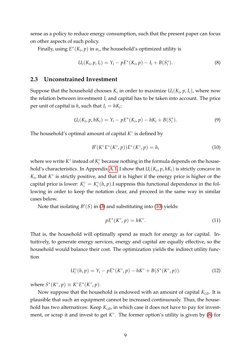sense as a policy to reduce energy consumption, such that the present paper can focus on other aspects of such policy.

Finally, using  $E^*(K_i, p)$  in  $u_i$ , the household's optimized utility is

<span id="page-10-2"></span>
$$
U_i(K_i, p, I_i) = Y_i - pE^*(K_i, p) - I_i + B(S_i^*).
$$
\n(8)

#### <span id="page-10-0"></span>**2.3 Unconstrained Investment**

Suppose that the household chooses  $K_i$  in order to maximize  $U_i(K_i, p, I_i)$ , where now the relation between investment  $I_i$  and capital has to be taken into account. The price per unit of capital is  $h$ , such that  $I_i = hK_i$ :

$$
U_i(K_i, p, hK_i) = Y_i - pE^*(K_i, p) - hK_i + B(S_i^*).
$$
\n(9)

The household's optimal amount of capital  $K^{\circ}$  is defined by

<span id="page-10-5"></span><span id="page-10-1"></span>
$$
B'(K^{\circ}E^*(K^{\circ}, p))E^*(K^{\circ}, p) = h,
$$
\n(10)

where we write  $K^{\circ}$  instead of  $K_i^{\circ}$  $\frac{\infty}{i}$  because nothing in the formula depends on the household's characteristics. In Appendix [A.1,](#page-31-1) I show that *Ui*(*K<sup>i</sup>* , *p*, *hKi*) is strictly concave in  $K_i$ , that  $K^{\circ}$  is strictly positive, and that it is higher if the energy price is higher or the capital price is lower:  $K_i^{\circ} = K_i^{\circ}$  $\int_{i}^{\infty} (h, p)$ .I suppress this functional dependence in the following in order to keep the notation clear, and proceed in the same way in similar cases below.

Note that isolating  $B'(S)$  in [\(3\)](#page-9-0) and substituting into [\(10\)](#page-10-1) yields:

<span id="page-10-4"></span><span id="page-10-3"></span>
$$
pE^*(K^\circ, p) = hK^\circ.
$$
 (11)

That is, the household will optimally spend as much for energy as for capital. Intuitively, to generate energy services, energy and capital are equally effective, so the household would balance their cost. The optimization yields the indirect utility function

$$
U_i^{\circ}(h, p) = Y_i - pE^*(K^{\circ}, p) - hK^{\circ} + B(S^*(K^{\circ}, p)).
$$
 (12)

where  $S^*(K^\circ, p) \equiv K^\circ E^*(K^\circ, p)$ .

Now suppose that the household is endowed with an amount of capital *Ki*,0. It is plausible that such an equipment cannot be increased continuously. Thus, the household has two alternatives: Keep  $K_{i,0}$ , in which case it does not have to pay for investment, or scrap it and invest to get  $K^{\circ}$ . The former option's utility is given by [\(8\)](#page-10-2) for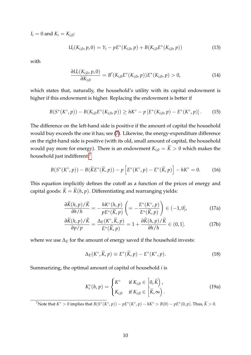$I_i = 0$  and  $K_i = K_{i,0}$ :

<span id="page-11-5"></span>
$$
U_i(K_{i,0}, p, 0) = Y_i - pE^*(K_{i,0}, p) + B(K_{i,0}E^*(K_{i,0}, p))
$$
\n(13)

with

<span id="page-11-6"></span><span id="page-11-1"></span>
$$
\frac{\partial U_i(K_{i,0}, p, 0)}{\partial K_{i,0}} = B'(K_{i,0}E^*(K_{i,0}, p))E^*(K_{i,0}, p) > 0,
$$
\n(14)

which states that, naturally, the household's utility with its capital endowment is higher if this endowment is higher. Replacing the endowment is better if

$$
B(S^*(K^{\circ}, p)) - B(K_{i,0}E^*(K_{i,0}, p)) \ge hK^{\circ} - p\left[E^*(K_{i,0}, p) - E^*(K^{\circ}, p)\right].
$$
 (15)

The difference on the left-hand side is positive if the amount of capital the household would buy exceeds the one it has; see [\(7\)](#page-9-2). Likewise, the energy-expenditure difference on the right-hand side is positive (with its old, small amount of capital, the household would pay more for energy). There is an endowment  $K_{i,0} = \widetilde{K} > 0$  which makes the household just indifferent:[7](#page-11-0)

$$
B(S^*(K^\circ, p)) - B(\widetilde{K}E^*(\widetilde{K}, p)) - p\left[E^*(K^\circ, p) - E^*(\widetilde{K}, p)\right] - hK^\circ = 0. \tag{16}
$$

This equation implicitly defines the cutoff as a function of the prices of energy and capital goods:  $\widetilde{K} = \widetilde{K}(h, p)$ . Differentiating and rearranging yields:

<span id="page-11-3"></span>
$$
\frac{\partial \widetilde{K}(h,p)/\widetilde{K}}{\partial h/h} = -\frac{hK^{\circ}(h,p)}{pE^{*}(\widetilde{K},p)} \left( = -\frac{E^{*}(K^{\circ},p)}{E^{*}(\widetilde{K},p)} \right) \in (-1,0],
$$
\n(17a)

$$
\frac{\partial \widetilde{K}(h,p)/\widetilde{K}}{\partial p/p} = \frac{\Delta_E(K^\circ,\widetilde{K},p)}{E^*(\widetilde{K},p)} = 1 + \frac{\partial \widetilde{K}(h,p)/\widetilde{K}}{\partial h/h} \in (0,1].
$$
 (17b)

where we use ∆*<sup>E</sup>* for the amount of energy saved if the household invests:

<span id="page-11-4"></span><span id="page-11-2"></span>
$$
\Delta_E(K^\circ, \widetilde{K}, p) \equiv E^*(\widetilde{K}, p) - E^*(K^\circ, p). \tag{18}
$$

Summarizing, the optimal amount of capital of household *i* is

$$
K_i^*(h, p) = \begin{cases} K^\circ & \text{if } K_{i,0} \in \left[0, \widetilde{K}\right), \\ K_{i,0} & \text{if } K_{i,0} \in \left[\widetilde{K}, \infty\right). \end{cases}
$$
(19a)

<span id="page-11-0"></span> $W^7$ Note that  $K^{\circ} > 0$  implies that  $B(S^*(K^{\circ}, p)) - pE^*(K^{\circ}, p) - hK^{\circ} > B(0) - pE^*(0, p)$ . Thus,  $\widetilde{K} > 0$ .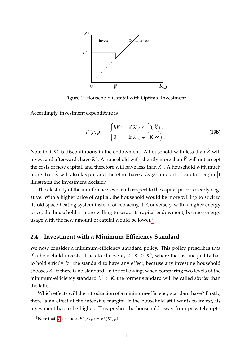<span id="page-12-1"></span>

Figure 1: Household Capital with Optimal Investment

Accordingly, investment expenditure is

$$
I_i^*(h, p) = \begin{cases} hK^{\circ} & \text{if } K_{i,0} \in [0, \widetilde{K}), \\ 0 & \text{if } K_{i,0} \in [\widetilde{K}, \infty). \end{cases}
$$
 (19b)

Note that  $K_i^*$  $\frac{1}{i}$  is discontinuous in the endowment. A household with less than *K* will invest and afterwards have  $K^{\circ}$ . A household with slightly more than  $\widetilde{K}$  will not accept the costs of new capital, and therefore will have less than  $K^{\circ}$ . A household with much more than  $\tilde{K}$  will also keep it and therefore have a *larger* amount of capital. Figure [1](#page-12-1) illustrates the investment decision.

The elasticity of the indifference level with respect to the capital price is clearly negative: With a higher price of capital, the household would be more willing to stick to its old space-heating system instead of replacing it. Conversely, with a higher energy price, the household is more willing to scrap its capital endowment, because energy usage with the new amount of capital would be lower.<sup>[8](#page-12-2)</sup>

#### <span id="page-12-0"></span>**2.4 Investment with a Minimum-Efficiency Standard**

We now consider a minimum-efficiency standard policy. This policy prescribes that *if* a household invests, it has to choose  $K_i \geq \underline{K} \geq K^{\circ}$ , where the last inequality has to hold strictly for the standard to have any effect, because any investing household chooses  $K^{\circ}$  if there is no standard. In the following, when comparing two levels of the minimum-efficiency standard  $\underline{K}' > \underline{K}$ , the former standard will be called *stricter* than the latter.

Which effects will the introduction of a minimum-efficiency standard have? Firstly, there is an effect at the intensive margin: If the household still wants to invest, its investment has to be higher. This pushes the household away from privately opti-

<span id="page-12-2"></span><sup>&</sup>lt;sup>8</sup>Note that [\(7\)](#page-9-2) excludes  $E^*(\widetilde{K}, p) = E^*(K^{\circ}, p)$ .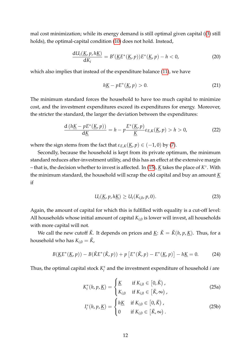mal cost minimization; while its energy demand is still optimal given capital ([\(3\)](#page-9-0) still holds), the optimal-capital condition [\(10\)](#page-10-1) does not hold. Instead,

$$
\frac{\mathrm{d}U_i(\underline{K}, p, h\underline{K})}{\mathrm{d}K_i} = B'(\underline{K}E^*(\underline{K}, p))E^*(\underline{K}, p) - h < 0,\tag{20}
$$

which also implies that instead of the expenditure balance [\(11\)](#page-10-3), we have

<span id="page-13-3"></span><span id="page-13-2"></span><span id="page-13-1"></span>
$$
h\underline{K} - pE^*(\underline{K}, p) > 0. \tag{21}
$$

The minimum standard forces the household to have too much capital to minimize cost, and the investment expenditures exceed its expenditures for energy. Moreover, the stricter the standard, the larger the deviation between the expenditures:

$$
\frac{d\left(h\underline{K} - pE^*(\underline{K},p)\right)}{d\underline{K}} = h - p\frac{E^*(\underline{K},p)}{\underline{K}}\varepsilon_{E,K}(\underline{K},p) > h > 0,\tag{22}
$$

where the sign stems from the fact that  $\varepsilon_{E,K}(K, p) \in (-1, 0)$  by [\(7\)](#page-9-2).

Secondly, because the household is kept from its private optimum, the minimum standard reduces after-investment utility, and this has an effect at the extensive margin – that is, the decision whether to invest is affected. In [\(15\)](#page-11-1), *K* takes the place of *K* ◦ . With the minimum standard, the household will scrap the old capital and buy an amount *K* if

<span id="page-13-4"></span><span id="page-13-0"></span>
$$
U_i(\underline{K}, p, h\underline{K}) \ge U_i(K_{i,0}, p, 0). \tag{23}
$$

Again, the amount of capital for which this is fulfilled with equality is a cut-off level: All households whose initial amount of capital  $K_{i,0}$  is lower will invest, all households with more capital will not.

We call the new cutoff  $\check{K}$ . It depends on prices and  $\underline{K}$ :  $\check{K} = \check{K}(h, p, \underline{K})$ . Thus, for a household who has  $K_{i,0} = \check{K}$ ,

$$
B(\underline{K}E^*(\underline{K},p)) - B(\check{K}E^*(\check{K},p)) + p\left[E^*(\check{K},p) - E^*(\underline{K},p)\right] - h\underline{K} = 0.
$$
 (24)

Thus, the optimal capital stock *K* ∗ *i* and the investment expenditure of household *i* are

$$
K_i^*(h, p, \underline{K}) = \begin{cases} \underline{K} & \text{if } K_{i,0} \in [0, \check{K}), \\ K_{i,0} & \text{if } K_{i,0} \in [\check{K}, \infty), \end{cases}
$$
 (25a)

$$
I_i^*(h, p, \underline{K}) = \begin{cases} h\underline{K} & \text{if } K_{i,0} \in [0, \check{K}), \\ 0 & \text{if } K_{i,0} \in [\check{K}, \infty). \end{cases}
$$
 (25b)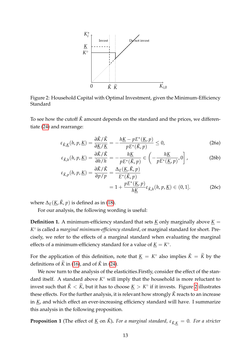<span id="page-14-0"></span>

Figure 2: Household Capital with Optimal Investment, given the Minimum-Efficiency Standard

To see how the cutoff  $\check{K}$  amount depends on the standard and the prices, we differentiate [\(24\)](#page-13-0) and rearrange:

<span id="page-14-3"></span><span id="page-14-1"></span>
$$
\varepsilon_{\breve{K},\underline{K}}(h,p,\underline{K}) = \frac{\partial \breve{K}/\breve{K}}{\partial \underline{K}/\underline{K}} = -\frac{h\underline{K} - pE^*(\underline{K},p)}{pE^*(\breve{K},p)} \le 0,
$$
\n(26a)

$$
\varepsilon_{\check{K},h}(h,p,\underline{K}) = \frac{\partial \check{K}/\check{K}}{\partial h/h} = -\frac{h\underline{K}}{pE^*(\check{K},p)} \in \left(-\frac{h\underline{K}}{pE^*(\underline{K},p)},0\right],
$$
(26b)

$$
\varepsilon_{\check{K},p}(h,p,\underline{K}) = \frac{\partial \check{K}/\check{K}}{\partial p/p} = \frac{\Delta_E(\underline{K},\check{K},p)}{E^*(\check{K},p)} \n= 1 + \frac{pE^*(\underline{K},p)}{h\underline{K}} \varepsilon_{\check{K},h}(h,p,\underline{K}) \in (0,1].
$$
\n(26c)

where  $\Delta_E(\underline{K}, \check{K}, p)$  is defined as in [\(18\)](#page-11-2).

For our analysis, the following wording is useful:

**Definition 1.** A minimum-efficiency standard that sets *K* only marginally above  $K =$ *K* ◦ is called a *marginal minimum-efficiency standard*, or marginal standard for short. Precisely, we refer to the effects of a marginal standard when evaluating the marginal effects of a minimum-efficiency standard for a value of  $\underline{K} = K^{\circ}$ .

For the application of this definition, note that  $\underline{K} = K^{\circ}$  also implies  $\check{K} = \widetilde{K}$  by the definitions of  $\tilde{K}$  in [\(16\)](#page-11-3), and of  $\tilde{K}$  in [\(24\)](#page-13-0).

We now turn to the analysis of the elasticities.Firstly, consider the effect of the standard itself. A standard above  $K^{\circ}$  will imply that the household is more reluctant to invest such that  $\check{K} < \widetilde{K}$ , but it has to choose  $\underline{K} > K^{\circ}$  if it invests. Figure [2](#page-14-0) illustrates these effects. For the further analysis, it is relevant how strongly  $\check{K}$  reacts to an increase in *K*, and which effect an ever-increasing efficiency standard will have. I summarize this analysis in the following proposition.

<span id="page-14-2"></span>**Proposition 1** (The effect of <u>K</u> on  $\check{K}$ ). For a marginal standard,  $\varepsilon_{\check{K},K} = 0$ . For a stricter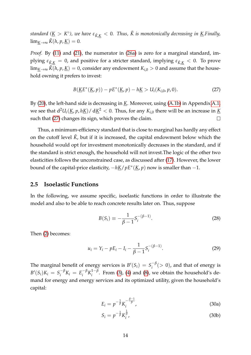*standard (K* > *K* ◦ *), we have <sup>ε</sup>K*ˇ,*<sup>K</sup>* < <sup>0</sup>*. Thus, K is monotonically decreasing in K* <sup>ˇ</sup> *.Finally,*  $\lim_{K\to\infty} \check{K}(h, p, \underline{K}) = 0.$ 

*Proof.* By [\(11\)](#page-10-3) and [\(21\)](#page-13-1), the numerator in [\(26a\)](#page-14-1) is zero for a marginal standard, implying  $\varepsilon_{\breve{K},K} = 0$ , and positive for a stricter standard, implying  $\varepsilon_{\breve{K},K} < 0$ . To prove  $\lim_{K\to\infty} K(h, p, \underline{K}) = 0$ , consider any endowment  $K_{i,0} > 0$  and assume that the household owning it prefers to invest:

<span id="page-15-1"></span>
$$
B(\underline{K}E^*(\underline{K},p)) - pE^*(\underline{K},p) - h\underline{K} > U_i(K_{i,0},p,0).
$$
 (27)

By [\(20\)](#page-13-2), the left-hand side is decreasing in *K*. Moreover, using [\(A.1b\)](#page-31-2) in Appendix [A.1,](#page-31-1) we see that  $d^2U_i(\underline{K}, p, h\underline{K})/ d\underline{K}^2 < 0$ . Thus, for any  $K_{i,0}$  there will be an increase in  $\underline{K}$ such that [\(27\)](#page-15-1) changes its sign, which proves the claim.  $\Box$ 

Thus, a minimum-efficiency standard that is close to marginal has hardly any effect on the cutoff level  $\check{K}$ , but if it is increased, the capital endowment below which the household would opt for investment monotonically decreases in the standard, and if the standard is strict enough, the household will not invest.The logic of the other two elasticities follows the unconstrained case, as discussed after [\(17\)](#page-11-4). However, the lower bound of the capital-price elasticity, −*hK*/*pE*<sup>∗</sup> (*K*, *p*) now is smaller than −1.

## <span id="page-15-0"></span>**2.5 Isoelastic Functions**

In the following, we assume specific, isoelastic functions in order to illustrate the model and also to be able to reach concrete results later on. Thus, suppose

$$
B(S_i) \equiv -\frac{1}{\beta - 1} S_i^{-(\beta - 1)}.
$$
 (28)

Then [\(2\)](#page-8-5) becomes:

$$
u_i = Y_i - pE_i - I_i - \frac{1}{\beta - 1} S_i^{-(\beta - 1)}.
$$
 (29)

<span id="page-15-2"></span>The marginal benefit of energy services is  $B'(S_i) = S_i^{-\beta}$  $i<sup>-p</sup>(>0)$ , and that of energy is *B*<sup> $\prime$ </sup>(*S*<sub>*i*</sub>)*K*<sub>*i*</sub> = *S*<sub>*i*</sub><sup> $-β$ </sup>  $i^{-\beta}K_i = E_i^{-\beta}$  $\int_i^{-\beta} K_i^{1-\beta}$  $i<sup>1-p</sup>$ . From [\(3\)](#page-9-0), [\(4\)](#page-9-3) and [\(8\)](#page-10-2), we obtain the household's demand for energy and energy services and its optimized utility, given the household's capital:

<span id="page-15-3"></span>
$$
E_i = p^{-\frac{1}{\beta}} K_i^{-\frac{\beta - 1}{\beta}}, \tag{30a}
$$

$$
S_i = p^{-\frac{1}{\beta}} K_i^{\frac{1}{\beta}}, \tag{30b}
$$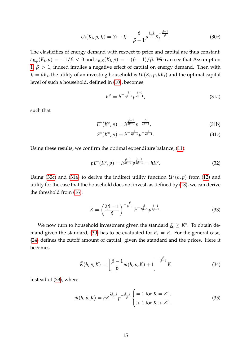$$
U_i(K_i, p, I_i) = Y_i - I_i - \frac{\beta}{\beta - 1} p^{\frac{\beta - 1}{\beta}} K_i^{-\frac{\beta - 1}{\beta}}.
$$
 (30c)

The elasticities of energy demand with respect to price and capital are thus constant: *εE*,*p*(*K<sup>i</sup>* , *p*) = −1/*β* < 0 and *εE*,*K*(*K<sup>i</sup>* , *p*) = −(*β* − 1)/*β*. We can see that Assumption [1,](#page-9-4)  $β$  > 1, indeed implies a negative effect of capital on energy demand. Then with  $I_i = hK_i$ , the utility of an investing household is  $U_i(K_i, p, hK_i)$  and the optimal capital level of such a household, defined in [\(10\)](#page-10-1), becomes

<span id="page-16-1"></span><span id="page-16-0"></span>
$$
K^{\circ} = h^{-\frac{\beta}{2\beta - 1}} p^{\frac{\beta - 1}{2\beta - 1}}, \tag{31a}
$$

such that

$$
E^*(K^{\circ}, p) = h^{\frac{\beta-1}{2\beta-1}} p^{-\frac{\beta}{2\beta-1}}, \tag{31b}
$$

$$
S^*(K^{\circ}, p) = h^{-\frac{1}{2\beta - 1}} p^{-\frac{1}{2\beta - 1}}.
$$
 (31c)

Using these results, we confirm the optimal expenditure balance, [\(11\)](#page-10-3):

$$
pE^*(K^{\circ}, p) = h^{\frac{\beta-1}{2\beta-1}} p^{\frac{\beta-1}{2\beta-1}} = hK^{\circ}.
$$
 (32)

Using [\(30c\)](#page-16-0) and [\(31a\)](#page-16-1) to derive the indirect utility function  $U_i^{\circ}(h, p)$  from [\(12\)](#page-10-4) and utility for the case that the household does not invest, as defined by [\(13\)](#page-11-5), we can derive the threshold from [\(16\)](#page-11-3):

<span id="page-16-2"></span>
$$
\widetilde{K} = \left(\frac{2\beta - 1}{\beta}\right)^{-\frac{\beta}{\beta - 1}} h^{-\frac{\beta}{2\beta - 1}} p^{\frac{\beta - 1}{2\beta - 1}}.
$$
\n(33)

We now turn to household investment given the standard  $\underline{K} \geq K^{\circ}$ . To obtain de-mand given the standard, [\(30\)](#page-15-2) has to be evaluated for  $K_i = K$ . For the general case, [\(24\)](#page-13-0) defines the cutoff amount of capital, given the standard and the prices. Here it becomes

<span id="page-16-4"></span><span id="page-16-3"></span>
$$
\check{K}(h, p, \underline{K}) = \left[\frac{\beta - 1}{\beta} \tilde{m}(h, p, \underline{K}) + 1\right]^{-\frac{\beta}{\beta - 1}} \underline{K}
$$
\n(34)

instead of [\(33\)](#page-16-2), where

$$
\tilde{m}(h, p, \underline{K}) = h\underline{K}^{\frac{2\beta - 1}{\beta}} p^{-\frac{\beta - 1}{\beta}} \begin{cases} = 1 \text{ for } \underline{K} = K^{\circ}, \\ > 1 \text{ for } \underline{K} > K^{\circ}. \end{cases}
$$
(35)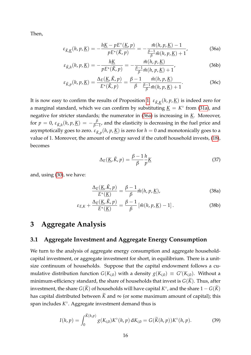<span id="page-17-4"></span>Then,

<span id="page-17-2"></span>
$$
\varepsilon_{\breve{K},\underline{K}}(h,p,\underline{K}) = -\frac{h\underline{K} - pE^*(\underline{K},p)}{pE^*(\breve{K},p)} = -\frac{\tilde{m}(h,p,\underline{K}) - 1}{\frac{\beta - 1}{\beta}\tilde{m}(h,p,\underline{K}) + 1},
$$
(36a)

$$
\varepsilon_{\breve{K},h}(h,p,\underline{K}) = -\frac{h\underline{K}}{pE^*(\breve{K},p)} = -\frac{\tilde{m}(h,p,\underline{K})}{\frac{\beta-1}{\beta}\tilde{m}(h,p,\underline{K})+1},\tag{36b}
$$

$$
\varepsilon_{\breve{K},p}(h,p,\underline{K}) = \frac{\Delta_E(\underline{K},\breve{K},p)}{E^*(\breve{K},p)} = \frac{\beta-1}{\beta} \frac{\tilde{m}(h,p,\underline{K})}{\frac{\beta-1}{\beta}\tilde{m}(h,p,\underline{K})+1}.
$$
 (36c)

It is now easy to confirm the results of Proposition [1.](#page-14-2)  $\varepsilon_{\breve{K},\underbar{K}}(h,p,\underbar{K})$  is indeed zero for a marginal standard, which we can confirm by substituting  $\underline{K} = K^{\circ}$  from [\(31a\)](#page-16-1), and negative for stricter standards; the numerator in [\(36a\)](#page-17-2) is increasing in *K*. Moreover,  $\displaystyle {\rm for} \,\,p\,=\,0,\,\varepsilon_{\breve{\rm K},h}(h,p,\underline{\rm K})\,=\,-\frac{\beta}{\beta-1}$  $\frac{p}{\beta-1}$ , and the elasticity is decreasing in the fuel price and asymptotically goes to zero.  $\varepsilon_{\breve{K},p}(h,p,\underline{K})$  is zero for  $h=0$  and monotonically goes to a value of 1. Moreover, the amount of energy saved if the cutoff household invests, [\(18\)](#page-11-2), becomes

<span id="page-17-5"></span>
$$
\Delta_E(\underline{K}, \check{K}, p) = \frac{\beta - 1}{\beta} \frac{h}{p} \underline{K}
$$
\n(37)

and, using [\(30\)](#page-15-2), we have:

<span id="page-17-3"></span>
$$
\frac{\Delta_E(\underline{K}, \check{K}, p)}{E^*(\underline{K})} = \frac{\beta - 1}{\beta} \tilde{m}(h, p, \underline{K}),
$$
\n(38a)

$$
\varepsilon_{E,K} + \frac{\Delta_E(\underline{K}, \check{K}, p)}{E^*(\underline{K})} = \frac{\beta - 1}{\beta} \left[ \tilde{m}(h, p, \underline{K}) - 1 \right]. \tag{38b}
$$

## <span id="page-17-0"></span>**3 Aggregate Analysis**

## <span id="page-17-1"></span>**3.1 Aggregate Investment and Aggregate Energy Consumption**

We turn to the analysis of aggregate energy consumption and aggregate householdcapital investment, or aggregate investment for short, in equilibrium. There is a unitsize continuum of households. Suppose that the capital endowment follows a cumulative distribution function  $G(K_{i,0})$  with a density  $g(K_{i,0}) \equiv G'(K_{i,0})$ . Without a minimum-efficiency standard, the share of households that invest is  $G(\tilde{K})$ . Thus, after investment, the share  $G(\widetilde{K})$  of households will have capital  $K^{\circ}$ , and the share  $1-G(\widetilde{K})$ has capital distributed between  $\tilde{K}$  and  $\infty$  (or some maximum amount of capital); this span includes *K* ◦ . Aggregate investment demand thus is

$$
I(h, p) = \int_0^{\widetilde{K}(h, p)} g(K_{i,0}) K^{\circ}(h, p) dK_{i,0} = G(\widetilde{K}(h, p)) K^{\circ}(h, p).
$$
 (39)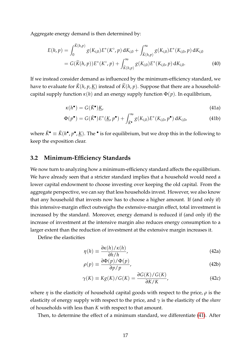Aggregate energy demand is then determined by:

$$
E(h, p) = \int_0^{\widetilde{K}(h, p)} g(K_{i,0}) E^*(K^{\circ}, p) dK_{i,0} + \int_{\widetilde{K}(h, p)}^{\infty} g(K_{i,0}) E^*(K_{i,0}, p) dK_{i,0}
$$
  
=  $G(\widetilde{K}(h, p)) E^*(K^{\circ}, p) + \int_{\widetilde{K}(h, p)}^{\infty} g(K_{i,0}) E^*(K_{i,0}, p) dK_{i,0}.$  (40)

If we instead consider demand as influenced by the minimum-efficiency standard, we have to evaluate for  $\check{K}(h, p, K)$  instead of  $\check{K}(h, p)$ . Suppose that there are a householdcapital supply function  $\kappa(h)$  and an energy supply function  $\Phi(p)$ . In equilibrium,

<span id="page-18-1"></span>
$$
\kappa(h^{\bullet}) = G(\check{K}^{\bullet})\underline{K},\tag{41a}
$$

$$
\Phi(p^{\bullet}) = G(\check{K}^{\bullet})E^*(\underline{K}, p^{\bullet}) + \int_{\check{K}^{\bullet}}^{\infty} g(K_{i,0})E^*(K_{i,0}, p^{\bullet}) dK_{i,0}, \qquad (41b)
$$

where  $\check{K}^{\bullet} \equiv \check{K}(h^{\bullet}, p^{\bullet}, \underline{K})$ . The  $^{\bullet}$  is for equilibrium, but we drop this in the following to keep the exposition clear.

#### <span id="page-18-0"></span>**3.2 Minimum-Efficiency Standards**

We now turn to analyzing how a minimum-efficiency standard affects the equilibrium. We have already seen that a stricter standard implies that a household would need a lower capital endowment to choose investing over keeping the old capital. From the aggregate perspective, we can say that less households invest. However, we also know that any household that invests now has to choose a higher amount. If (and only if) this intensive-margin effect outweighs the extensive-margin effect, total investment is increased by the standard. Moreover, energy demand is reduced if (and only if) the increase of investment at the intensive margin also reduces energy consumption to a larger extent than the reduction of investment at the extensive margin increases it.

Define the elasticities

<span id="page-18-2"></span>
$$
\eta(h) \equiv \frac{\partial \kappa(h)/\kappa(h)}{\partial h/h},\tag{42a}
$$

$$
\rho(p) \equiv \frac{\partial \Phi(p)/\Phi(p)}{\partial p/p},\tag{42b}
$$

$$
\gamma(K) \equiv Kg(K)/G(K) = \frac{\partial G(K)/G(K)}{\partial K/K},
$$
\n(42c)

where *η* is the elasticity of household capital goods with respect to the price, *ρ* is the elasticity of energy supply with respect to the price, and *γ* is the elasticity of the *share* of households with less than *K* with respect to that amount.

Then, to determine the effect of a minimum standard, we differentiate [\(41\)](#page-18-1). After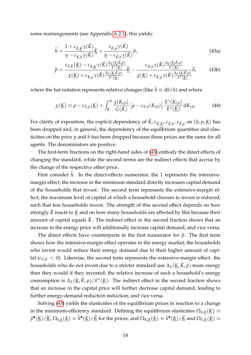some rearrangements (see Appendix [A.2.1\)](#page-32-1), this yields:

<span id="page-19-0"></span>
$$
\widehat{h} = \frac{1 + \varepsilon_{\breve{K},\underline{K}} \gamma(\breve{K})}{\eta - \varepsilon_{\breve{K},h} \gamma(\breve{K})} \widehat{\underline{K}} + \frac{\varepsilon_{\breve{K},p} \gamma(\breve{K})}{\eta - \varepsilon_{\breve{K},h} \gamma(\breve{K})} \widehat{p},
$$
\n(43a)

$$
\widehat{p} = \frac{\varepsilon_{E,K}(\underline{K}) - \varepsilon_{\breve{K},\underline{K}} \gamma(\breve{K}) \frac{\Delta_E(\underline{K},\breve{K},p)}{E^*(\underline{K})}}{\chi(\underline{K}) + \varepsilon_{\breve{K},p} \gamma(\breve{K}) \frac{\Delta_E(\underline{K},\breve{K},p)}{E^*(\underline{K})}} \widehat{K} - \frac{\varepsilon_{\breve{K},h} \gamma(\breve{K}) \frac{\Delta_E(\underline{K},\breve{K},p)}{E^*(\underline{K})}}{\chi(\underline{K}) + \varepsilon_{\breve{K},p} \gamma(\breve{K}) \frac{\Delta_E(\underline{K},\breve{K},p)}{E^*(\underline{K})}} \widehat{h},\tag{43b}
$$

where the hat notation represents relative changes (like  $\hat{h} \equiv dh/h$ ) and where

<span id="page-19-1"></span>
$$
\chi(\underline{K}) \equiv \rho - \varepsilon_{E,p}(\underline{K}) + \int_{\check{K}}^{\infty} \frac{g(K_{i,0})}{G(\check{K})} \left[ \rho - \varepsilon_{E,p}(K_{i,0}) \right] \frac{E^*(K_{i,0})}{E^*(\underline{K})} dK_{i,0}.
$$
 (44)

For clarity of exposition, the explicit dependency of  $\breve{K}$ ,  $\epsilon_{\breve{K},\breve{K}}$ ,  $\epsilon_{\breve{K},h}$ ,  $\epsilon_{\breve{K},p}$  on  $(h,p,\underbar{K})$  has been dropped and, in general, the dependency of the equilbrium quantities and elasticities on the price *p* and *h* has been dropped because these prices are the same for all agents. The denominators are positive.

The first-term fractions on the right-hand sides of [\(43\)](#page-19-0) embody the direct effects of changing the standard, while the second terms are the indirect effects that accrue by the change of the respective other price.

First consider  $\hat{h}$ . In the direct-effects numerator, the 1 represents the intensivemargin effect; the increase in the minimum standard directly increases capital demand of the households that invest. The second term represents the extensive-margin effect; the maximum level of capital at which a household chooses to invest is reduced, such that less households invest. The strength of this second effect depends on how strongly  $\check{K}$  reacts to  $\underline{K}$  and on how many households are affected by this because their amount of capital equals  $\check{K}$ . The indirect effect in the second fraction shows that an increase in the energy price will additionally increase capital demand, and vice versa.

The direct effects have counterparts in the first numerator for  $\hat{p}$ . The first term shows how the intensive-margin effect operates in the energy market; the households who invest would reduce their energy demand due to their higher amount of capital ( $\varepsilon_{E,K}$  < 0). Likewise, the second term represents the extensive-margin effect: the households who do not invest due to a stricter standard use  $\Delta_E(\underline{K}, \check{K}, p)$  more energy than they would if they invested; the relative increase of such a household's energy consumption is  $\Delta_E(\underline{K}, \check{K}, p)/E^*(\underline{K})$ . The indirect effect in the second fraction shows that an increase in the capital price will further decrease capital demand, leading to further energy-demand reduction reduction, and vice versa.

Solving [\(43\)](#page-19-0) yields the elasticities of the equilibrium prices in reaction to a change in the minimum-efficiency standard. Defining the equilibrium elasticities  $\Omega_{p,K}(\underline{K}) \equiv$  $\widehat{p}^{\bullet}(\underline{K})/\widehat{\underline{K}}$ ,  $\Omega_{h,\underline{K}}(\underline{K}) \equiv \widehat{h}^{\bullet}(\underline{K})/\widehat{\underline{K}}$  for the prices, and  $\Omega_{K,\underline{K}}(\underline{K}) \equiv \widehat{\kappa}^{\bullet}(\underline{K})/\widehat{\underline{K}}$  and  $\Omega_{E,\underline{K}}(\underline{K}) \equiv \Omega_{h,\underline{K}}(\underline{K})$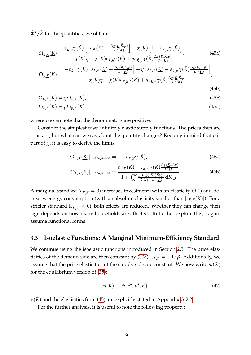$\widehat{\Phi}^{\bullet}/\widehat{K}$  for the quantities, we obtain:

<span id="page-20-2"></span><span id="page-20-1"></span>
$$
\Omega_{h,\underline{K}}(\underline{K}) = \frac{\varepsilon_{\breve{K},p}\gamma(\breve{K})\left[\varepsilon_{E,K}(\underline{K}) + \frac{\Delta_E(\underline{K},\breve{K},p)}{E^*(\underline{K})}\right] + \chi(\underline{K})\left[1 + \varepsilon_{\breve{K},\underline{K}}\gamma(\breve{K})\right]}{\chi(\underline{K})\eta - \chi(\underline{K})\varepsilon_{\breve{K},h}\gamma(\breve{K}) + \eta\varepsilon_{\breve{K},p}\gamma(\breve{K})\frac{\Delta_E(\underline{K},\breve{K},p)}{E^*(\underline{K})}},\tag{45a}
$$

$$
\Omega_{p,\underline{K}}(\underline{K}) = \frac{-\varepsilon_{\breve{K},h}\gamma(\breve{K})\left[\varepsilon_{E,K}(\underline{K}) + \frac{\Delta_E(\underline{K},\breve{K},p)}{E^*(\underline{K})}\right] + \eta\left[\varepsilon_{E,K}(\underline{K}) - \varepsilon_{\breve{K},\underline{K}}\gamma(\breve{K})\frac{\Delta_E(\underline{K},\breve{K},p)}{E^*(\underline{K})}\right]}{\chi(\underline{K})\eta - \chi(\underline{K})\varepsilon_{\breve{K},h}\gamma(\breve{K}) + \eta\varepsilon_{\breve{K},p}\gamma(\breve{K})\frac{\Delta_E(\underline{K},\breve{K},p)}{E^*(\underline{K})}}.
$$
\n(45b)

$$
\Omega_{K,\underline{K}}(\underline{K}) = \eta \Omega_{h,\underline{K}}(\underline{K}),\tag{45c}
$$

$$
\Omega_{E,K}(\underline{K}) = \rho \Omega_{p,K}(\underline{K}) \tag{45d}
$$

where we can note that the denominators are positive.

Consider the simplest case: infinitely elastic supply functions. The prices then are constant, but what can we say about the quantity changes? Keeping in mind that *ρ* is part of  $\chi$ , it is easy to derive the limits

<span id="page-20-3"></span>
$$
\Omega_{K,\underline{K}}(\underline{K})|_{\eta \to \infty,\rho \to \infty} = 1 + \varepsilon_{\breve{K},\underline{K}} \gamma(\breve{K}),\tag{46a}
$$

$$
\Omega_{E,K}(\underline{K})|_{\eta \to \infty, \rho \to \infty} = \frac{\varepsilon_{E,K}(\underline{K}) - \varepsilon_{\check{K},\underline{K}} \gamma(\check{K}) \frac{\Delta_E(\underline{K},\check{K},p)}{E^*(\underline{K})}}{1 + \int_{\check{K}}^{\infty} \frac{g(K_{i,0})}{G(\check{K})} \frac{E^*(K_{i,0})}{E^*(\underline{K})} dK_{i,0}}.
$$
\n(46b)

A marginal standard ( $\varepsilon_{\breve{K}K} = 0$ ) increases investment (with an elasticity of 1) and decreases energy consumption (with an absolute elasticity smaller than  $|\varepsilon_{E,K}(\underline{K})|$ ). For a stricter standard ( $\epsilon_{\tilde{K},K}$  < 0), both effects are reduced. Whether they can change their sign depends on how many households are affected. To further explore this, I again assume functional forms.

### <span id="page-20-0"></span>**3.3 Isoelastic Functions: A Marginal Minimum-Efficiency Standard**

We continue using the isoelastic functions introduced in Section [2.5.](#page-15-0) The price elas-ticities of the demand side are then constant by [\(30a\)](#page-15-3):  $\varepsilon$ <sub>*E*,*p*</sub> = -1/*β*. Additionally, we assume that the price elasticities of the supply side are constant. We now write  $m(\underline{K})$ for the equilibrium version of [\(35\)](#page-16-3):

<span id="page-20-4"></span>
$$
m(\underline{K}) \equiv \tilde{m}(h^{\bullet}, p^{\bullet}, \underline{K}). \tag{47}
$$

 $\chi(\underline{K})$  and the elasticities from [\(45\)](#page-20-1) are explicitly stated in Appendix [A.2.2.](#page-33-0)

For the further analysis, it is useful to note the following property: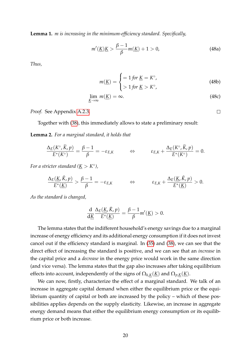<span id="page-21-0"></span>**Lemma 1.** *m is increasing in the minimum-efficiency standard. Specifically,*

$$
m'(\underline{K})\underline{K} > \frac{\beta - 1}{\beta}m(\underline{K}) + 1 > 0,
$$
\n(48a)

*Thus,*

$$
m(\underline{K}) = \begin{cases} = 1 \text{ for } \underline{K} = K^{\circ}, \\ > 1 \text{ for } \underline{K} > K^{\circ}, \end{cases}
$$
(48b)

<span id="page-21-2"></span> $\Box$ 

$$
\lim_{\underline{K}\to\infty} m(\underline{K}) = \infty. \tag{48c}
$$

*Proof.* See Appendix [A.2.3.](#page-34-0)

Together with [\(38\)](#page-17-3), this immediately allows to state a preliminary result:

<span id="page-21-1"></span>**Lemma 2.** *For a marginal standard, it holds that*

$$
\frac{\Delta_E(K^{\circ}, \widetilde{K}, p)}{E^*(K^{\circ})} = \frac{\beta - 1}{\beta} = -\varepsilon_{E,K} \qquad \Leftrightarrow \qquad \varepsilon_{E,K} + \frac{\Delta_E(K^{\circ}, \widetilde{K}, p)}{E^*(K^{\circ})} = 0.
$$

*For a stricter standard* ( $\underline{K} > K^{\circ}$ ),

$$
\frac{\Delta_E(\underline{K}, \check{K}, p)}{E^*(\underline{K})} > \frac{\beta - 1}{\beta} = -\varepsilon_{E,K} \qquad \Leftrightarrow \qquad \varepsilon_{E,K} + \frac{\Delta_E(\underline{K}, \check{K}, p)}{E^*(\underline{K})} > 0.
$$

*As the standard is changed,*

$$
\frac{\mathrm{d}}{\mathrm{d}\underline{K}}\frac{\Delta_E(\underline{K},\check{K},p)}{E^*(\underline{K})}=\frac{\beta-1}{\beta}m'(\underline{K})>0.
$$

The lemma states that the indifferent household's energy savings due to a marginal increase of energy efficiency and its additional energy consumption if it does not invest cancel out if the efficiency standard is marginal. In [\(35\)](#page-16-3) and [\(38\)](#page-17-3), we can see that the direct effect of increasing the standard is positive, and we can see that an *increase* in the capital price and a *decrease* in the energy price would work in the same direction (and vice versa). The lemma states that the gap also increases after taking equilibrium effects into account, independently of the signs of  $\Omega_{h,K}(\underline{K})$  and  $\Omega_{p,K}(\underline{K})$ .

We can now, firstly, characterize the effect of a marginal standard. We talk of an increase in aggregate capital demand when either the equilibrium price or the equilibrium quantity of capital or both are increased by the policy – which of these possibilities applies depends on the supply elasticity. Likewise, an increase in aggregate energy demand means that either the equilibrium energy consumption or its equilibrium price or both increase.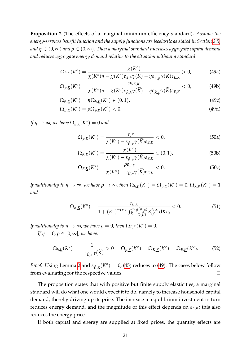<span id="page-22-1"></span>**Proposition 2** (The effects of a marginal minimum-efficiency standard)**.** *Assume the energy-services benefit function and the supply functions are isoelastic as stated in Section [2.5,](#page-15-0) and*  $\eta \in (0,\infty)$  *and*  $\rho \in (0,\infty)$ . Then a marginal standard increases aggregate capital demand *and reduces aggregate energy demand relative to the situation without a standard:*

<span id="page-22-0"></span>
$$
\Omega_{h,\underline{K}}(K^{\circ}) = \frac{\chi(K^{\circ})}{\chi(K^{\circ})\eta - \chi(K^{\circ})\varepsilon_{\breve{K},h}\gamma(\breve{K}) - \eta\varepsilon_{\breve{K},p}\gamma(\breve{K})\varepsilon_{E,K}} > 0,
$$
 (49a)

$$
\Omega_{p,\underline{K}}(K^{\circ}) = \frac{\eta \varepsilon_{E,K}}{\chi(K^{\circ})\eta - \chi(K^{\circ})\varepsilon_{\check{K},h}\gamma(\check{K}) - \eta \varepsilon_{\check{K},p}\gamma(\check{K})\varepsilon_{E,K}} < 0,
$$
\n(49b)

$$
\Omega_{K,\underline{K}}(K^{\circ}) = \eta \Omega_{h,\underline{K}}(K^{\circ}) \in (0,1),\tag{49c}
$$

$$
\Omega_{E,\underline{K}}(K^{\circ}) = \rho \Omega_{p,\underline{K}}(K^{\circ}) < 0. \tag{49d}
$$

*If*  $\eta \to \infty$ , we have  $\Omega_{h,\underline{K}}(K^{\circ}) = 0$  and

$$
\Omega_{p,\underline{K}}(K^{\circ}) = \frac{\varepsilon_{E,K}}{\chi(K^{\circ}) - \varepsilon_{\breve{K},p}\gamma(\breve{K})\varepsilon_{E,K}} < 0,
$$
\n(50a)

$$
\Omega_{K,\underline{K}}(K^{\circ}) = \frac{\chi(K^{\circ})}{\chi(K^{\circ}) - \varepsilon_{\check{K},p}\gamma(\check{K})\varepsilon_{E,K}} \in (0,1),\tag{50b}
$$

$$
\Omega_{E,\underline{K}}(K^{\circ}) = \frac{\rho \varepsilon_{E,K}}{\chi(K^{\circ}) - \varepsilon_{\breve{K},p} \gamma(\breve{K}) \varepsilon_{E,K}} < 0.
$$
\n(50c)

*If additionally to*  $\eta \to \infty$ *, we have*  $\rho \to \infty$ *, then*  $\Omega_{h,\underline{K}}(K^{\circ}) = \Omega_{p,\underline{K}}(K^{\circ}) = 0$ ,  $\Omega_{K,\underline{K}}(K^{\circ}) = 1$ *and*

$$
\Omega_{E,\underline{K}}(K^{\circ}) = \frac{\varepsilon_{E,K}}{1 + (K^{\circ})^{-\varepsilon_{E,K}} \int_{\widetilde{K}}^{\infty} \frac{g(K_{i,0})}{G(\widetilde{K})} K_{i,0}^{\varepsilon_{E,K}} dK_{i,0}} < 0.
$$
\n(51)

*If additionally to*  $\eta \to \infty$ *, we have*  $\rho = 0$ *, then*  $\Omega_{E,\underline{K}}(K^{\circ}) = 0$ *. If*  $\eta = 0$ ,  $\rho \in [0, \infty]$ , we have:

$$
\Omega_{h,\underline{K}}(K^{\circ}) = \frac{1}{-\varepsilon_{\breve{K},h}\gamma(\widetilde{K})} > 0 = \Omega_{p,\underline{K}}(K^{\circ}) = \Omega_{K,\underline{K}}(K^{\circ}) = \Omega_{E,\underline{K}}(K^{\circ}).\tag{52}
$$

*Proof.* Using Lemma [2](#page-21-1) and  $\varepsilon_{\check{K},\underline{K}}(K^{\circ}) = 0$ , [\(45\)](#page-20-1) reduces to [\(49\)](#page-22-0). The cases below follow from evaluating for the respective values.  $\Box$ 

The proposition states that with positive but finite supply elasticities, a marginal standard will do what one would expect it to do, namely to increase household capital demand, thereby driving up its price. The increase in equilibrium investment in turn reduces energy demand, and the magnitude of this effect depends on  $\varepsilon_{E,K}$ ; this also reduces the energy price.

If both capital and energy are supplied at fixed prices, the quantity effects are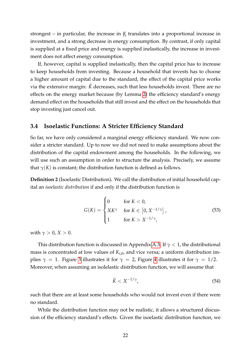strongest – in particular, the increase in  $K$  translates into a proportional increase in investment, and a strong decrease in energy consumption. By contrast, if only capital is supplied at a fixed price and energy is supplied inelastically, the increase in investment does not affect energy consumption.

If, however, capital is supplied inelastically, then the capital price has to increase to keep households from investing. Because a household that invests has to choose a higher amount of capital due to the standard, the effect of the capital price works via the extensive margin:  $\check{K}$  decreases, such that less households invest. There are no effects on the energy market because (by Lemma [2\)](#page-21-1) the efficiency standard's energy demand effect on the households that still invest and the effect on the households that stop investing just cancel out.

## <span id="page-23-0"></span>**3.4 Isoelastic Functions: A Stricter Efficiency Standard**

So far, we have only considered a marginal energy efficiency standard. We now consider a stricter standard. Up to now we did not need to make assumptions about the distribution of the capital endowment among the households. In the following, we will use such an assumption in order to structure the analysis. Precisely, we assume that  $\gamma(K)$  is constant; the distribution function is defined as follows.

<span id="page-23-1"></span>**Definition 2** (Isoelastic Distribution)**.** We call the distribution of initial household capital an *isoelastic distribution* if and only if the distribution function is

$$
G(K) = \begin{cases} 0 & \text{for } K < 0, \\ XX^\gamma & \text{for } K \in \left[0, X^{-1/\gamma}\right], \\ 1 & \text{for } K > X^{-1/\gamma}, \end{cases} \tag{53}
$$

with  $\gamma > 0$ ,  $X > 0$ .

This distribution function is discussed in Appendix [A.3.](#page-34-1) If  $\gamma$  < 1, the distributional mass is concentrated at low values of  $K_{i,0}$ , and vice versa; a uniform distribution implies  $\gamma = 1$ . Figure [3](#page-24-1) illustrates it for  $\gamma = 2$ , Figure [4](#page-24-2) illustrates it for  $\gamma = 1/2$ . Moreover, when assuming an isolelastic distribution function, we will assume that

<span id="page-23-2"></span>
$$
\widetilde{K} < X^{-1/\gamma},\tag{54}
$$

such that there are at least some households who would not invest even if there were no standard.

While the distribution function may not be realistic, it allows a structured discussion of the efficiency standard's effects. Given the isoelastic distribution function, we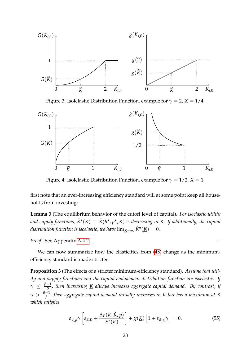<span id="page-24-1"></span>

Figure 3: Isolelastic Distribution Function, example for  $\gamma = 2$ ,  $X = 1/4$ .

<span id="page-24-2"></span>

Figure 4: Isolelastic Distribution Function, example for  $\gamma = 1/2$ ,  $X = 1$ .

first note that an ever-increasing efficiency standard will at some point keep all households from investing:

<span id="page-24-0"></span>**Lemma 3** (The equilibrium behavior of the cutoff level of capital)**.** *For isoelastic utility* and supply functions,  $\check{K}^{\bullet}(\underline{K}) \equiv \check{K}(h^{\bullet}, p^{\bullet}, \underline{K})$  is decreasing in <u>K</u>. If additionally, the capital distribution function is isoelastic, we have  $\lim_{\underline{K}\to\infty} \check{K}^\bullet(\underline{K})=0.$ 

*Proof.* See Appendix [A.4.2.](#page-36-0)

We can now summarize how the elasticities from  $(45)$  change as the minimumefficiency standard is made stricter.

<span id="page-24-4"></span>**Proposition 3** (The effects of a stricter minimum-efficiency standard)**.** *Assume that utility and supply functions and the capital-endowment distribution function are isoelastic. If γ* ≤  $\frac{\beta-1}{\beta}$ *β , then increasing K always increases aggregate capital demand. By contrast, if*  $\gamma > \frac{\beta-1}{\beta}$ *β , then aggregate capital demand initially increases in K but has a maximum at K which satisfies*

$$
\varepsilon_{\breve{K},p}\gamma\left[\varepsilon_{E,K} + \frac{\Delta_E(\underline{K},\breve{K},p)}{E^*(\underline{K})}\right] + \chi(\underline{K})\left[1 + \varepsilon_{\breve{K},\underline{K}}\gamma\right] = 0. \tag{55}
$$

<span id="page-24-3"></span> $\Box$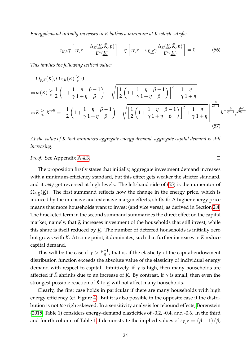*Energydemand initially increases in K buthas a minimum at K which satisfies*

$$
-\varepsilon_{\check{K},h}\gamma\left[\varepsilon_{E,K}+\frac{\Delta_E(\underline{K},\check{K},p)}{E^*(\underline{K})}\right]+\eta\left[\varepsilon_{E,K}-\varepsilon_{\check{K},\underline{K}}\gamma\frac{\Delta_E(\underline{K},\check{K},p)}{E^*(\underline{K})}\right]=0
$$
(56)

*This implies the following critical value:*

$$
\Omega_{p,\underline{K}}(\underline{K}),\Omega_{E,\underline{K}}(\underline{K})\geq 0
$$
  
\n
$$
\Leftrightarrow m(\underline{K})\geq \frac{1}{2}\left(1+\frac{1}{\gamma}\frac{\eta}{1+\eta}\frac{\beta-1}{\beta}\right)+\sqrt{\left[\frac{1}{2}\left(1+\frac{1}{\gamma}\frac{\eta}{1+\eta}\frac{\beta-1}{\beta}\right)\right]^{2}+\frac{1}{\gamma}\frac{\eta}{1+\eta}}
$$
  
\n
$$
\Leftrightarrow \underline{K}\geq \underline{K}^{crit}=\left[\frac{1}{2}\left(1+\frac{1}{\gamma}\frac{\eta}{1+\eta}\frac{\beta-1}{\beta}\right)+\sqrt{\left[\frac{1}{2}\left(1+\frac{1}{\gamma}\frac{\eta}{1+\eta}\frac{\beta-1}{\beta}\right)\right]^{2}+\frac{1}{\gamma}\frac{\eta}{1+\eta}}\right]^{\frac{\beta}{2\beta-1}}h^{-\frac{\beta}{2\beta-1}}p^{\frac{\beta-1}{2\beta-1}}
$$
\n(57)

*At the value of K that minimizes aggregate energy demand, aggregate capital demand is still increasing.*

*Proof.* See Appendix [A.4.3.](#page-39-0)

The proposition firstly states that initially, aggregate investment demand increases with a minimum-efficiency standard, but this effect gets weaker the stricter standard, and it *may* get reversed at high levels. The left-hand side of [\(55\)](#page-24-3) is the numerator of  $\Omega_{h,K}(\underline{K})$ . The first summand reflects how the change in the energy price, which is induced by the intensive and extensive margin effects, shifts  $\check{K}$ : A higher energy price means that more households want to invest (and vice versa), as derived in Section [2.4.](#page-12-0) The bracketed term in the second summand summarizes the direct effect on the capital market, namely, that <u>K</u> increases investment of the households that still invest, while this share is itself reduced by *K*. The number of deterred households is initially zero but grows with *K*. At some point, it dominates, such that further increases in *K* reduce capital demand.

This will be the case if  $\gamma > \frac{\beta-1}{\beta}$ *β* , that is, if the elasticity of the capital-endowment distribution function exceeds the absolute value of the elasticity of individual energy demand with respect to capital. Intuitively, if  $\gamma$  is high, then many households are affected if  $\check{K}$  shrinks due to an increase of <u>K</u>. By contrast, if  $\gamma$  is small, then even the strongest possible reaction of  $\check{K}$  to  $\underline{K}$  will not affect many households.

Clearly, the first case holds in particular if there are many households with high energy efficiency (cf. Figure [4\)](#page-24-2). But it is also possible in the opposite case if the distribution is not *too* right-skewed. In a sensitivity analysis for rebound effects, [Borenstein](#page-41-7) [\(2015,](#page-41-7) Table 1) considers energy-demand elasticities of -0.2, -0.4, and -0.6. In the third and fourth column of Table [1,](#page-26-0) I demonstrate the implied values of  $\varepsilon_{E,K} = (\beta - 1)/\beta$ ,

<span id="page-25-1"></span><span id="page-25-0"></span> $\Box$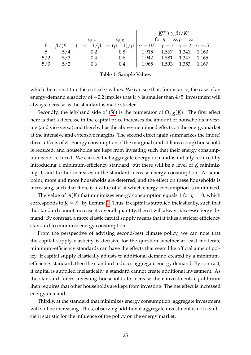<span id="page-26-0"></span>

|     |     |                     |                                                    | $K^{\text{crit}}(\gamma,\beta)/K^{\circ}$             |       |                   |         |
|-----|-----|---------------------|----------------------------------------------------|-------------------------------------------------------|-------|-------------------|---------|
|     |     | $\varepsilon_{E,p}$ | $\varepsilon_{E,K}$                                | for $\eta = \infty$ , $\rho = \infty$                 |       |                   |         |
|     |     |                     | $\beta/(\beta-1)$ = $-1/\beta$ = $(\beta-1)/\beta$ | $\gamma = 0.5$ $\gamma = 1$ $\gamma = 2$ $\gamma = 5$ |       |                   |         |
| 5   | 5/4 | $-0.2$              | $-0.8$                                             | 1.915                                                 |       | 1.567 1.341 1.163 |         |
| 5/2 | 5/3 | $-0.4$              | $-0.6$                                             | 1.942                                                 | 1.581 | 1.347             | 1.165   |
| 5/3 | 5/2 | $-0.6$              | $-0.4$                                             | 1.965                                                 | 1.593 | 1.353             | - 1.167 |

Table 1: Sample Values

which then constitute the critical *γ* values. We can see that, for instance, the case of an energy-demand elasticity of  $-0.2$  implies that if  $\gamma$  is smaller than 4/5, investment will always increase as the standard is made stricter.

Secondly, the left-hand side of [\(56\)](#page-25-0) is the numerator of  $\Omega_{p,K}(\underline{K})$ . The first effect here is that a decrease in the capital price increases the amount of households investing (and vice versa) and thereby has the above-mentioned effects on the energy market at the intensive and extensive margins. The second effect again summarizes the (more) direct effects of *K*. Energy consumption of the marginal (and still investing) household is reduced, and households are kept from investing such that their energy consumption is not reduced. We can see that aggregate energy demand is initially reduced by introducing a minimum-efficiency standard, but there will be a level of *K* minimizing it, and further increases in the standard increase energy consumption. At some point, more and more households are deterred, and the effect on these households is increasing, such that there is a value of *K* at which energy consumption is minimized.

The value of  $m(\underline{K})$  that minimizes energy consumption equals 1 for  $\eta = 0$ , which corresponds to  $\underline{K} = K^{\circ}$  by Lemma [1.](#page-21-0) Thus, if capital is supplied inelastically, such that the standard cannot increase its overall quantity, then it will always *increase* energy demand. By contrast, a more elastic capital supply means that it takes a stricter efficiency standard to minimize energy consumption.

From the perspective of advising second-best climate policy, we can note that the capital supply elasticity is decisive for the question whether at least moderate minimum-efficiency standards can have the effects that seem like official aims of policy. If capital supply elastically adjusts to additional demand created by a minimumefficiency standard, then the standard reduces aggregate energy demand. By contrast, if capital is supplied inelastically, a standard cannot create additional investment. As the standard forces investing households to increase their investment, equilibrium then requires that other households are kept from investing. The net effect is increased energy demand.

Thirdly, at the standard that minimizes energy consumption, aggregate investment will still be increasing. Thus, observing additional aggregate investment is not a sufficient statistic for the influence of the policy on the energy market.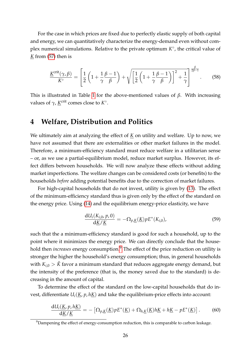For the case in which prices are fixed due to perfectly elastic supply of both capital and energy, we can quantitatively characterize the energy-demand even without complex numerical simulations. Relative to the private optimum  $K^{\circ}$ , the critical value of *K* from [\(57\)](#page-25-1) then is

$$
\frac{\underline{\mathrm{K}}^{\mathrm{crit}}(\gamma,\beta)}{\mathrm{K}^{\circ}} = \left[\frac{1}{2}\left(1 + \frac{1}{\gamma}\frac{\beta - 1}{\beta}\right) + \sqrt{\left[\frac{1}{2}\left(1 + \frac{1}{\gamma}\frac{\beta - 1}{\beta}\right)\right]^{2} + \frac{1}{\gamma}}\right]^{\frac{\beta}{2\beta - 1}}.\tag{58}
$$

This is illustrated in Table [1](#page-26-0) for the above-mentioned values of *β*. With increasing values of  $\gamma$ , <u>*K*<sup>crit</sup> comes close to *K*°</u>.

## <span id="page-27-0"></span>**4 Welfare, Distribution and Politics**

We ultimately aim at analyzing the effect of  $K$  on utility and welfare. Up to now, we have not assumed that there are externalities or other market failures in the model. Therefore, a minimum-efficiency standard must reduce welfare in a utilitarian sense – or, as we use a partial-equilibrium model, reduce market surplus. However, its effect differs between households. We will now analyze these effects without adding market imperfections. The welfare changes can be considered costs (or benefits) to the households *before* adding potential benefits due to the correction of market failures.

For high-capital households that do not invest, utility is given by [\(13\)](#page-11-5). The effect of the minimum-efficiency standard thus is given only by the effect of the standard on the energy price. Using [\(14\)](#page-11-6) and the equilibrium energy-price elasticity, we have

$$
\frac{\mathrm{d}U_i(K_{i,0}, p, 0)}{\mathrm{d}\underline{K}/\underline{K}} = -\Omega_{p,\underline{K}}(\underline{K})pE^*(K_{i,0}),\tag{59}
$$

such that the a minimum-efficiency standard is good for such a household, up to the point where it minimizes the energy price. We can directly conclude that the household then *increases* energy consumption.<sup>[9](#page-27-1)</sup> The effect of the price reduction on utility is stronger the higher the household's energy consumption; thus, in general households with  $K_{i,0} > K$  favor a minimum standard that reduces aggregate energy demand, but the intensity of the preference (that is, the money saved due to the standard) is decreasing in the amount of capital.

To determine the effect of the standard on the low-capital households that do invest, differentiate  $U_i(K, p, hK)$  and take the equilibrium-price effects into account:

$$
\frac{dU_i(\underline{K}, p, h\underline{K})}{d\underline{K}/\underline{K}} = -\left[\Omega_{p,\underline{K}}(\underline{K})pE^*(\underline{K}) + \Omega_{h,\underline{K}}(\underline{K})h\underline{K} + h\underline{K} - pE^*(\underline{K})\right].
$$
 (60)

<span id="page-27-1"></span> $9$ Dampening the effect of energy-consumption reduction, this is comparable to carbon leakage.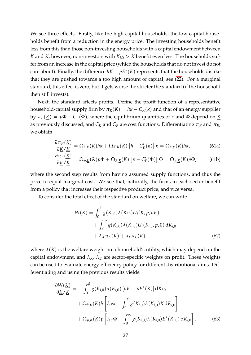We see three effects. Firstly, like the high-capital households, the low-capital households benefit from a reduction in the energy price. The investing households benefit less from this than those non-investing households with a capital endowment between *K* and *K*; however, non-investors with  $K_{i,0} > K$  benefit even less. The households suffer from an increase in the capital price (which the households that do not invest do not care about). Finally, the difference  $h\underline{K} - pE^*(\underline{K})$  represents that the households dislike that they are pushed towards a too high amount of capital, see [\(22\)](#page-13-3). For a marginal standard, this effect is zero, but it gets worse the stricter the standard (if the household then still invests).

Next, the standard affects profits. Define the profit function of a representative household-capital supply firm by  $\pi_K(\underline{K}) = h\kappa - C_K(\kappa)$  and that of an energy supplier by  $\pi_E(\underline{K}) = p\Phi - C_E(\Phi)$ , where the equilibrium quantities of *κ* and Φ depend on <u>K</u> as previously discussed, and  $C_K$  and  $C_E$  are cost functions. Differentiating  $\pi_K$  and  $\pi_E$ , we obtain

$$
\frac{\partial \pi_K(\underline{K})}{\partial \underline{K}/\underline{K}} = \Omega_{h,\underline{K}}(\underline{K})h\kappa + \Omega_{K,\underline{K}}(\underline{K})\left[h - C'_{K}(\kappa)\right]\kappa = \Omega_{h,\underline{K}}(\underline{K})h\kappa,
$$
\n(61a)

$$
\frac{\partial \pi_E(\underline{K})}{\partial \underline{K}/\underline{K}} = \Omega_{p,\underline{K}}(\underline{K}) p\Phi + \Omega_{E,\underline{K}}(\underline{K}) [p - C'_E(\Phi)] \Phi = \Omega_{p,\underline{K}}(\underline{K}) p\Phi,
$$
(61b)

where the second step results from having assumed supply functions, and thus the price to equal marginal cost. We see that, naturally, the firms in each sector benefit from a policy that increases their respective product price, and vice versa.

To consider the total effect of the standard on welfare, we can write

$$
W(\underline{K}) = \int_0^{\check{K}} g(K_{i,0}) \lambda(K_{i,0}) U_i(\underline{K}, p, h\underline{K}) + \int_{\check{K}}^{\infty} g(K_{i,0}) \lambda(K_{i,0}) U_i(K_{i,0}, p, 0) dK_{i,0} + \lambda_K \pi_K(\underline{K}) + \lambda_E \pi_E(\underline{K})
$$
(62)

where  $\lambda(K)$  is the welfare weight on a household's utility, which may depend on the capital endowment, and  $\lambda_K$ ,  $\lambda_E$  are sector-specific weights on profit. These weights can be used to evaluate energy-efficiency policy for different distributional aims. Differentiating and using the previous results yields:

$$
\frac{\partial W(\underline{K})}{\partial \underline{K}/\underline{K}} = -\int_0^{\check{K}} g(K_{i,0}) \lambda(K_{i,0}) \left[ h\underline{K} - pE^*(\underline{K}) \right] dK_{i,0} \n+ \Omega_{h,\underline{K}}(\underline{K}) h \left[ \lambda_K \kappa - \int_0^{\check{K}} g(K_{i,0}) \lambda(K_{i,0}) \underline{K} dK_{i,0} \right] \n+ \Omega_{p,\underline{K}}(\underline{K}) p \left[ \lambda_E \Phi - \int_0^\infty g(K_{i,0}) \lambda(K_{i,0}) E^*(K_{i,0}) dK_{i,0} \right].
$$
\n(63)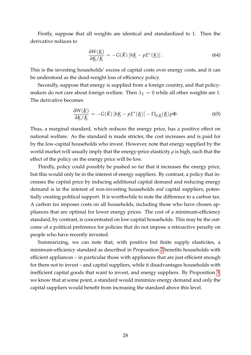Firstly, suppose that all weights are identical and standardized to 1. Then the derivative reduces to

$$
\frac{\partial W(\underline{K})}{\partial \underline{K}/\underline{K}} = -G(\check{K}) \left[ h\underline{K} - pE^*(\underline{K}) \right]. \tag{64}
$$

This is the investing households' excess of capital costs over energy costs, and it can be understood as the dead-weight loss of efficiency policy.

Secondly, suppose that energy is supplied from a foreign country, and that policymakers do not care about foreign welfare. Then  $\lambda_E = 0$  while all other weights are 1. The derivative becomes

$$
\frac{\partial W(\underline{K})}{\partial \underline{K}/\underline{K}} = -G(\check{K}) \left[ h\underline{K} - pE^*(\underline{K}) \right] - \Omega_{p,\underline{K}}(\underline{K}) p \Phi. \tag{65}
$$

Thus, a marginal standard, which reduces the energy price, has a positive effect on national welfare. As the standard is made stricter, the cost increases and is paid for by the low-capital households who invest. However, note that energy supplied by the world market will usually imply that the energy-price elasticity *ρ* is high, such that the effect of the policy on the energy price will be low.

Thirdly, policy could possibly be pushed so far that it increases the energy price, but this would only be in the interest of energy suppliers. By contrast, a policy that increases the capital price by inducing additional capital demand and reducing energy demand is in the interest of non-investing households *and* capital suppliers, potentially creating political support. It is worthwhile to note the difference to a carbon tax. A carbon tax imposes costs on all households, including those who have chosen appliances that are optimal for lower energy prices. The cost of a minimum-efficiency standard, by contrast, is concentrated on low-capital households. This may be the outcome of a political preference for policies that do not impose a retroactive penalty on people who have recently invested.

Summarizing, we can note that, with positive but finite supply elasticites, a minimum-efficiency standard as described in Proposition [2](#page-22-1) benefits households with efficient appliances – in particular those with appliances that are just efficient enough for them not to invest – and capital suppliers, while it disadvantages households with inefficient capital goods that want to invest, and energy suppliers. By Proposition [3,](#page-24-4) we know that at some point, a standard would minimize energy demand and only the capital suppliers would benefit from increasing the standard above this level.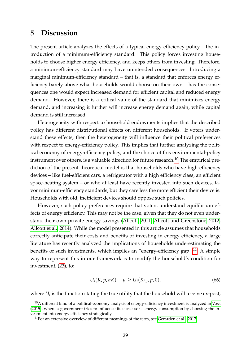## <span id="page-30-0"></span>**5 Discussion**

The present article analyzes the effects of a typical energy-efficiency policy – the introduction of a minimum-efficiency standard. This policy forces investing households to choose higher energy efficiency, and keeps others from investing. Therefore, a minimum-efficiency standard may have unintended consequences. Introducing a marginal minimum-efficiency standard – that is, a standard that enforces energy efficiency barely above what households would choose on their own – has the consequences one would expect:Increased demand for efficient capital and reduced energy demand. However, there is a critical value of the standard that minimizes energy demand, and increasing it further will increase energy demand again, while capital demand is still increased.

Heterogeneity with respect to household endowments implies that the described policy has different distributional effects on different households. If voters understand these effects, then the heterogeneity will influence their political preferences with respect to energy-efficiency policy. This implies that further analyzing the political economy of energy-efficiency policy, and the choice of this environmental-policy instrument over others, is a valuable direction for future research.<sup>[10](#page-30-1)</sup> The empirical prediction of the present theoretical model is that households who have high-efficiency devices – like fuel-efficient cars, a refrigerator with a high efficiency class, an efficient space-heating system – or who at least have recently invested into such devices, favor minimum-efficiency standards, but they care less the more efficient their device is. Households with old, inefficient devices should oppose such policies.

However, such policy preferences require that voters understand equilibrium effects of energy efficiency. This may not be the case, given that they do not even understand their own private energy savings [\(Allcott, 2011;](#page-40-1) [Allcott and Greenstone, 2012;](#page-41-11) [Allcott et al., 2014\)](#page-41-12). While the model presented in this article assumes that households correctly anticipate their costs and benefits of investing in energy efficiency, a large literature has recently analyzed the implications of households underestimating the benefits of such investments, which implies an "energy-efficiency gap".<sup>[11](#page-30-2)</sup> A simple way to represent this in our framework is to modify the household's condition for investment, [\(23\)](#page-13-4), to:

$$
U_i(\underline{K}, p, h\underline{K}) - \mu \ge U_i(K_{i,0}, p, 0), \qquad (66)
$$

where  $U_i$  is the function stating the true utility that the household will receive ex-post,

<span id="page-30-1"></span> $10A$  different kind of a political-economy analysis of energy-efficiency investment is analyzed in [Voss](#page-42-10) [\(2015\)](#page-42-10), where a government tries to influence its successor's energy consumption by choosing the investment into energy efficiency strategically.

<span id="page-30-2"></span> $11$ For an extensive overview of different meanings of the term, see [Gerarden et al.](#page-41-10) [\(2017\)](#page-41-10).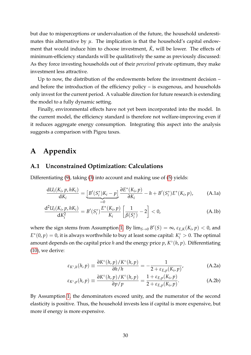but due to misperceptions or undervaluation of the future, the household underestimates this alternative by  $\mu$ . The implication is that the household's capital endowment that would induce him to choose investment,  $\check{K}$ , will be lower. The effects of minimum-efficiency standards will be qualitatively the same as previously discussed: As they force investing households out of their *perceived* private optimum, they make investment less attractive.

Up to now, the distribution of the endowments before the investment decision – and before the introduction of the efficiency policy – is exogenous, and households only invest for the current period. A valuable direction for future research is extending the model to a fully dynamic setting.

Finally, environmental effects have not yet been incorporated into the model. In the current model, the efficiency standard is therefore not welfare-improving even if it reduces aggregate energy consumption. Integrating this aspect into the analysis suggests a comparison with Pigou taxes.

## <span id="page-31-0"></span>**A Appendix**

## <span id="page-31-1"></span>**A.1 Unconstrained Optimization: Calculations**

Differentiating [\(9\)](#page-10-5), taking [\(3\)](#page-9-0) into account and making use of [\(5\)](#page-9-5) yields:

$$
\frac{\mathrm{d}U_i(K_i, p, hK_i)}{\mathrm{d}K_i} = \underbrace{\left[B'(S_i^*)K_i - p\right]}_{=0} \frac{\partial E^*(K_i, p)}{\partial K_i} - h + B'(S_i^*)E^*(K_i, p),\tag{A.1a}
$$

$$
\frac{d^2 U_i(K_i, p, hK_i)}{dK_i^2} = B'(S_i^*) \frac{E^*(K_i, p)}{K_i} \left[ \frac{1}{\beta(S_i^*)} - 2 \right] < 0,
$$
\n(A.1b)

where the sign stems from Assumption [1.](#page-9-4) By  $\lim_{S\to 0} B'(S) = \infty$ ,  $\varepsilon_{E,K}(K_i, p) < 0$ , and  $E^*(0, p) = 0$ , it is always worthwhile to buy at least some capital:  $K_i^{\circ} > 0$ . The optimal amount depends on the capital price *h* and the energy price *p*, *K* ◦ (*h*, *p*). Differentiating [\(10\)](#page-10-1), we derive:

<span id="page-31-2"></span>
$$
\varepsilon_{K^{\circ},h}(h,p) \equiv \frac{\partial K^{\circ}(h,p)/K^{\circ}(h,p)}{\partial h/h} = -\frac{1}{2 + \varepsilon_{E,p}(K_i,p)},
$$
 (A.2a)

$$
\varepsilon_{K^{\circ},p}(h,p) \equiv \frac{\partial K^{\circ}(h,p)/K^{\circ}(h,p)}{\partial p/p} = \frac{1 + \varepsilon_{E,p}(K_i,p)}{2 + \varepsilon_{E,p}(K_i,p)}.
$$
 (A.2b)

By Assumption [1,](#page-9-4) the denominators exceed unity, and the numerator of the second elasticity is positive. Thus, the household invests less if capital is more expensive, but more if energy is more expensive.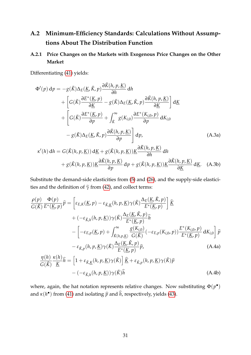## <span id="page-32-0"></span>**A.2 Minimum-Efficiency Standards: Calculations Without Assumptions About The Distribution Function**

## <span id="page-32-1"></span>**A.2.1 Price Changes on the Markets with Exogenous Price Changes on the Other Market**

Differentiating [\(41\)](#page-18-1) yields:

$$
\Phi'(p) dp = -g(\check{K})\Delta_E(\underline{K}, \check{K}, p)\frac{\partial \check{K}(h, p, \underline{K})}{\partial h} dh \n+ \left[G(\check{K})\frac{\partial E^*(\underline{K}, p)}{\partial \underline{K}} - g(\check{K})\Delta_E(\underline{K}, \check{K}, p)\frac{\partial \check{K}(h, p, \underline{K})}{\partial \underline{K}}\right] d\underline{K} \n+ \left[G(\check{K})\frac{\partial E^*(\underline{K}, p)}{\partial p} + \int_{\check{K}}^{\infty} g(K_{i,0}) \frac{\partial E^*(K_{i,0}, p)}{\partial p} dK_{i,0} \n- g(\check{K})\Delta_E(\underline{K}, \check{K}, p)\frac{\partial \check{K}(h, p, \underline{K})}{\partial p}\right] dp, \qquad (A.3a)
$$
\n
$$
\kappa'(h) dh = G(\check{K}(h, p, \underline{K})) d\underline{K} + g(\check{K}(h, p, \underline{K})) \underline{K} \frac{\partial \check{K}(h, p, \underline{K})}{\partial h} dh \n+ g(\check{K}(h, p, \underline{K})) \underline{K} \frac{\partial \check{K}(h, p, \underline{K})}{\partial p} dp + g(\check{K}(h, p, \underline{K})) \underline{K} \frac{\partial \check{K}(h, p, \underline{K})}{\partial Y} d\underline{K}.
$$
 (A.3b)

Substitute the demand-side elasticities from (5) and (26), and the supply-side elasticities and the definition of 
$$
\tilde{\gamma}
$$
 from (42), and collect terms:

$$
\frac{\rho(p)}{G(\check{K})} \frac{\Phi(p)}{E^*(K,p)} \hat{p} = \left[ \varepsilon_{E,K}(K,p) - \varepsilon_{\check{K},K}(h,p,\underline{K}) \gamma(\check{K}) \frac{\Delta_E(K,\check{K},p)}{E^*(K,p)} \right] \hat{K}
$$
\n
$$
+ (-\varepsilon_{\check{K},h}(h,p,\underline{K})) \gamma(\check{K}) \frac{\Delta_E(K,\check{K},p)}{E^*(K,p)} \hat{h}
$$
\n
$$
- \left[ -\varepsilon_{E,p}(K,p) + \int_{\check{K}(h,p,\underline{K})}^{\infty} \frac{g(K_{i,0})}{G(\check{K})} (-\varepsilon_{E,p}(K_{i,0},p)) \frac{E^*(K_{i,0},p)}{E^*(K,p)} dK_{i,0} \right] \hat{p}
$$
\n
$$
- \varepsilon_{\check{K},p}(h,p,\underline{K}) \gamma(\check{K}) \frac{\Delta_E(K,\check{K},p)}{E^*(K,p)} \hat{p}, \qquad (A.4a)
$$
\n
$$
\frac{\eta(h)}{G(\check{K})} \frac{\kappa(h)}{\underline{K}} \hat{h} = \left[ 1 + \varepsilon_{\check{K},K}(h,p,\underline{K}) \gamma(\check{K}) \right] \hat{K} + \varepsilon_{\check{K},p}(h,p,\underline{K}) \gamma(\check{K}) \hat{p}
$$
\n
$$
- (-\varepsilon_{\check{K},h}(h,p,\underline{K})) \gamma(\check{K}) \hat{h} \qquad (A.4b)
$$

where, again, the hat notation represents relative changes. Now substituting  $\Phi(p^{\bullet})$ and  $\kappa(h^{\bullet})$  from [\(41\)](#page-18-1) and isolating  $\widehat{p}$  and  $\widehat{h}$ , respectively, yields [\(43\)](#page-19-0).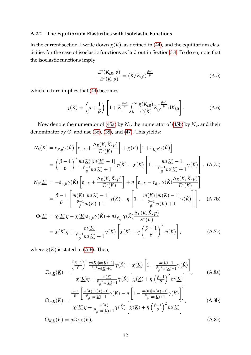## <span id="page-33-0"></span>**A.2.2 The Equilibrium Elasticities with Isolelastic Functions**

In the current section, I write down  $\chi(\underline{K})$ , as defined in [\(44\)](#page-19-1), and the equilibrium elasticities for the case of isoelastic functions as laid out in Section [3.3.](#page-20-0) To do so, note that the isoelastic functions imply

<span id="page-33-6"></span><span id="page-33-5"></span><span id="page-33-3"></span><span id="page-33-1"></span>
$$
\frac{E^*(K_{i,0}, p)}{E^*(\underline{K}, p)} = (\underline{K}/K_{i,0})^{\frac{\beta - 1}{\beta}}
$$
(A.5)

which in turn implies that [\(44\)](#page-19-1) becomes

$$
\chi(\underline{K}) = \left(\rho + \frac{1}{\beta}\right) \left[1 + \underline{K}^{\frac{\beta - 1}{\beta}} \int_{\check{K}}^{\infty} \frac{g(K_{i,0})}{G(\check{K})} K_{i,0}^{-\frac{\beta - 1}{\beta}} dK_{i,0}\right].
$$
 (A.6)

Now denote the numerator of [\(45a\)](#page-20-2) by *N<sup>h</sup>* , the numerator of [\(45b\)](#page-20-3) by *Np*, and their denominator by Θ, and use [\(36\)](#page-17-4), [\(38\)](#page-17-3), and [\(47\)](#page-20-4). This yields:

$$
N_h(\underline{K}) = \varepsilon_{\check{K},p} \gamma(\check{K}) \left[ \varepsilon_{E,K} + \frac{\Delta_E(\underline{K},\check{K},p)}{E^*(\underline{K})} \right] + \chi(\underline{K}) \left[ 1 + \varepsilon_{\check{K},\underline{K}} \gamma(\check{K}) \right]
$$
  
\n
$$
= \left( \frac{\beta - 1}{\beta} \right)^2 \frac{m(\underline{K}) [m(\underline{K}) - 1]}{\frac{\beta - 1}{\beta} m(\underline{K}) + 1} \gamma(\check{K}) + \chi(\underline{K}) \left[ 1 - \frac{m(\underline{K}) - 1}{\frac{\beta - 1}{\beta} m(\underline{K}) + 1} \gamma(\check{K}) \right], \quad \text{(A.7a)}
$$
  
\n
$$
N_p(\underline{K}) = -\varepsilon_{\check{K},h} \gamma(\check{K}) \left[ \varepsilon_{E,K} + \frac{\Delta_E(\underline{K},\check{K},p)}{E^*(\underline{K})} \right] + \eta \left[ \varepsilon_{E,K} - \varepsilon_{\check{K},\underline{K}} \gamma(\check{K}) \frac{\Delta_E(\underline{K},\check{K},p)}{E^*(\underline{K})} \right]
$$
  
\n
$$
= \frac{\beta - 1}{\beta} \left[ \frac{m(\underline{K}) [m(\underline{K}) - 1]}{\frac{\beta - 1}{\beta} m(\underline{K}) + 1} \gamma(\check{K}) - \eta \left[ 1 - \frac{m(\underline{K}) [m(\underline{K}) - 1]}{\frac{\beta - 1}{\beta} m(\underline{K}) + 1} \gamma(\check{K}) \right] \right], \quad \text{(A.7b)}
$$
  
\n
$$
\Theta(\underline{K}) = \chi(\underline{K}) \eta - \chi(\underline{K}) \varepsilon_{\check{K},h} \gamma(\check{K}) + \eta \varepsilon_{\check{K},p} \gamma(\check{K}) \frac{\Delta_E(\underline{K},\check{K},p)}{E^*(\underline{K})}
$$
  
\n
$$
= \chi(\underline{K}) \eta + \frac{m(\underline{K})}{\frac{\beta - 1}{\beta} m(\underline{K}) + 1} \gamma(\check{K}) \left[ \chi(\underline{K}) + \eta \left( \frac{\beta - 1}{\beta} \right)^2 m(\underline{K}) \right], \quad \text{(A.
$$

where  $\chi(\underline{K})$  is stated in [\(A.6\)](#page-33-1). Then,

<span id="page-33-4"></span><span id="page-33-2"></span>
$$
\Omega_{h,\underline{K}}(\underline{K}) = \frac{\left(\frac{\beta-1}{\beta}\right)^2 \frac{m(\underline{K})[m(\underline{K})-1]}{\frac{\beta-1}{\beta}m(\underline{K})+1} \gamma(\check{K}) + \chi(\underline{K}) \left[1 - \frac{m(\underline{K})-1}{\frac{\beta-1}{\beta}m(\underline{K})+1} \gamma(\check{K})\right]}{\chi(\underline{K})\eta + \frac{m(\underline{K})}{\frac{\beta-1}{\beta}m(\underline{K})+1} \gamma(\check{K}) \left[\chi(\underline{K}) + \eta\left(\frac{\beta-1}{\beta}\right)^2 m(\underline{K})\right]},
$$
\n(A.8a)

<span id="page-33-7"></span>
$$
\Omega_{p,\underline{K}}(\underline{K}) = \frac{\frac{\beta-1}{\beta} \left[ \frac{m(\underline{K})[m(\underline{K})-1]}{\frac{\beta-1}{\beta}m(\underline{K})+1} \gamma(\check{K}) - \eta \left[ 1 - \frac{m(\underline{K})[m(\underline{K})-1]}{\frac{\beta-1}{\beta}m(\underline{K})+1} \gamma(\check{K}) \right] \right]}{\chi(\underline{K})\eta + \frac{m(\underline{K})}{\frac{\beta-1}{\beta}m(\underline{K})+1} \gamma(\check{K}) \left[ \chi(\underline{K}) + \eta \left( \frac{\beta-1}{\beta} \right)^2 m(\underline{K}) \right]},
$$
\n(A.8b)

$$
\Omega_{K,\underline{K}}(\underline{K}) = \eta \Omega_{h,\underline{K}}(\underline{K}),\tag{A.8c}
$$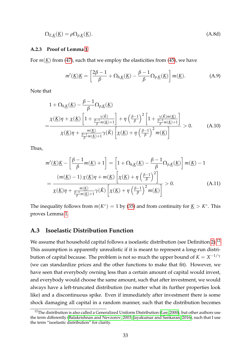$$
\Omega_{E,\underline{K}}(\underline{K}) = \rho \Omega_{p,\underline{K}}(\underline{K}).\tag{A.8d}
$$

#### <span id="page-34-0"></span>**A.2.3 Proof of Lemma [1](#page-21-0)**

For  $m(K)$  from [\(47\)](#page-20-4), such that we employ the elasticities from [\(45\)](#page-20-1), we have

<span id="page-34-3"></span>
$$
m'(\underline{K})\underline{K} = \left[\frac{2\beta - 1}{\beta} + \Omega_{h,\underline{K}}(\underline{K}) - \frac{\beta - 1}{\beta}\Omega_{p,\underline{K}}(\underline{K})\right]m(\underline{K}).
$$
 (A.9)

Note that

$$
1 + \Omega_{h,\underline{K}}(\underline{K}) - \frac{\beta - 1}{\beta} \Omega_{p,\underline{K}}(\underline{K})
$$
  
= 
$$
\frac{\chi(\underline{K})\eta + \chi(\underline{K}) \left[1 + \frac{\gamma(\check{K})}{\frac{\beta - 1}{\beta} m(\underline{K}) + 1}\right] + \eta \left(\frac{\beta - 1}{\beta}\right)^2 \left[1 + \frac{\gamma(\check{K})m(\underline{K})}{\frac{\beta - 1}{\beta} m(\underline{K}) + 1}\right]}{\chi(\underline{K})\eta + \frac{m(\underline{K})}{\frac{\beta - 1}{\beta} m(\underline{K}) + 1} \gamma(\check{K}) \left[\chi(\underline{K}) + \eta \left(\frac{\beta - 1}{\beta}\right)^2 m(\underline{K})\right]} > 0.
$$
 (A.10)

Thus,

$$
m'(\underline{K})\underline{K} - \left[\frac{\beta - 1}{\beta}m(\underline{K}) + 1\right] = \left[1 + \Omega_{h,\underline{K}}(\underline{K}) - \frac{\beta - 1}{\beta}\Omega_{p,\underline{K}}(\underline{K})\right]m(\underline{K}) - 1
$$

$$
= \frac{\left(m(\underline{K}) - 1\right)\chi(\underline{K})\eta + m(\underline{K})\left[\chi(\underline{K}) + \eta\left(\frac{\beta - 1}{\beta}\right)^{2}\right]}{\chi(\underline{K})\eta + \frac{m(\underline{K})}{\beta}m(\underline{K}) + \gamma\left(\tilde{K}\right)\left[\chi(\underline{K}) + \eta\left(\frac{\beta - 1}{\beta}\right)^{2}m(\underline{K})\right]} > 0.
$$
(A.11)

The inequality follows from  $m(K^{\circ}) = 1$  by [\(35\)](#page-16-3) and from continuity for  $\underline{K} > K^{\circ}$ . This proves Lemma [1.](#page-21-0)

### <span id="page-34-1"></span>**A.3 Isoelastic Distribution Function**

We assume that household capital follows a isoelastic distribution (see Definition [2\)](#page-23-1).<sup>[12](#page-34-2)</sup> This assumption is apparently unrealistic if it is meant to represent a long-run distribution of capital because. The problem is not so much the upper bound of  $K = X^{-1/\gamma}$ (we can standardize prices and the other functions to make that fit). However, we have seen that everybody owning less than a certain amount of capital would invest, and everybody would choose the same amount, such that after investment, we would always have a left-truncated distribution (no matter what its further properties look like) and a discontinuous spike. Even if immediately after investment there is some shock damaging all capital in a random manner, such that the distribution becomes

<span id="page-34-2"></span> $12$ The distribution is also called a Generalized Uniform Distribution [\(Lee, 2000\)](#page-42-12), but other authors use the term differently [\(Balakrishnan and Nevzorov, 2003;](#page-41-13) [Jayakumar and Sankaran, 2016\)](#page-42-13), such that I use the term "isoelastic distribution" for clarity.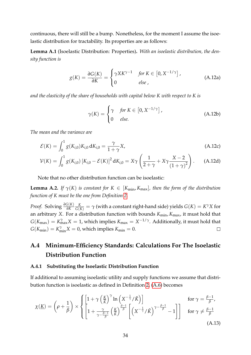continuous, there will still be a bump. Nonetheless, for the moment I assume the isoelastic distribution for tractability. Its properties are as follows:

**Lemma A.1** (Isoelastic Distribution: Properties)**.** *With an isoelastic distribution, the density function is*

$$
g(K) = \frac{\partial G(K)}{\partial K} = \begin{cases} \gamma X K^{\gamma - 1} & \text{for } K \in [0, X^{-1/\gamma}], \\ 0 & \text{else,} \end{cases}
$$
(A.12a)

*and the elasticity of the share of households with capital below K with respect to K is*

$$
\gamma(K) = \begin{cases} \gamma & \text{for } K \in [0, X^{-1/\gamma}], \\ 0 & \text{else.} \end{cases}
$$
 (A.12b)

*The mean and the variance are*

$$
\mathcal{E}(K) = \int_0^1 g(K_{i,0}) K_{i,0} dK_{i,0} = \frac{\gamma}{1 + \gamma} X,
$$
\n(A.12c)

$$
\mathcal{V}(K) = \int_0^1 g(K_{i,0}) \left[ K_{i,0} - \mathcal{E}(K) \right]^2 dK_{i,0} = X\gamma \left( \frac{1}{2+\gamma} + X\gamma \frac{X-2}{(1+\gamma)^2} \right). \tag{A.12d}
$$

Note that no other distribution function can be isoelastic:

**Lemma A.2.** *If*  $\gamma(K)$  *is constant for*  $K \in [K_{\min}, K_{\max}]$ *, then the form of the distribution function of K must be the one from Definition [2.](#page-23-1)*

*Proof.* Solving *<sup>∂</sup>G*(*K*) *∂K*  $\frac{K}{G(K)} = \gamma$  (with a constant right-hand side) yields  $G(K) = K^\gamma X$  for an arbitrary *X*. For a distribution function with bounds  $K_{\text{min}}$ ,  $K_{\text{max}}$ , it must hold that  $G(K_{\text{max}}) = K_{\text{max}}^{\gamma} X = 1$ , which implies  $K_{\text{max}} = X^{-1/\gamma}$ . Additionally, it must hold that  $G(K_{\min}) = K_{\min}^{\gamma} X = 0$ , which implies  $K_{\min} = 0$ .  $\Box$ 

## <span id="page-35-0"></span>**A.4 Minimum-Efficiency Standards: Calculations For The Isoelastic Distribution Function**

#### <span id="page-35-1"></span>**A.4.1 Substituting the Isoelastic Distribution Function**

If additional to assuming isoelastic utility and supply functions we assume that distribution function is isoelastic as defined in Definition [2,](#page-23-1) [\(A.6\)](#page-33-1) becomes

<span id="page-35-2"></span>
$$
\chi(\underline{K}) = \left(\rho + \frac{1}{\beta}\right) \times \left\{ \left[1 + \gamma \left(\frac{\underline{K}}{\overline{K}}\right)^{\gamma} \ln\left(X^{-\frac{1}{\gamma}} / \breve{K}\right)\right] \text{ for } \gamma = \frac{\beta - 1}{\beta},
$$
  

$$
\chi(\underline{K}) = \left(\rho + \frac{1}{\beta}\right) \times \left\{\left[1 + \frac{\gamma}{\gamma - \frac{\beta - 1}{\beta}} \left(\frac{\underline{K}}{\overline{K}}\right)^{\frac{\beta - 1}{\beta}} \left[\left(X^{-\frac{1}{\gamma}} / \breve{K}\right)^{\gamma - \frac{\beta - 1}{\beta}} - 1\right]\right] \text{ for } \gamma \neq \frac{\beta - 1}{\beta}.
$$
  
(A.13)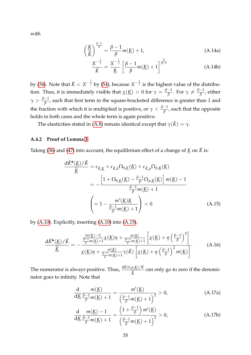<span id="page-36-3"></span>with

$$
\left(\frac{\underline{K}}{\vec{K}}\right)^{\frac{\beta-1}{\beta}} = \frac{\beta-1}{\beta}m(\underline{K}) + 1,
$$
\n(A.14a)

<span id="page-36-2"></span>
$$
\frac{X^{-\frac{1}{\gamma}}}{\check{K}} = \frac{X^{-\frac{1}{\gamma}}}{\underline{K}} \left[ \frac{\beta - 1}{\beta} m(\underline{K}) + 1 \right]^{\frac{\beta}{\beta - 1}}
$$
(A.14b)

by [\(34\)](#page-16-4). Note that  $\breve{K} < X^{-\frac{1}{\gamma}}$  by [\(54\)](#page-23-2), because  $X^{-\frac{1}{\gamma}}$  is the highest value of the distribution. Thus, it is immediately visible that  $\chi(\underline{K}) > 0$  for  $\gamma = \frac{\beta - 1}{\beta}$  $\frac{-1}{\beta}$ . For  $\gamma \neq \frac{\beta-1}{\beta}$  $\frac{1}{\beta}$ , either  $\gamma > \frac{\beta-1}{\beta}$ *β* , such that first term in the square-bracketed difference is greater than 1 and the fraction with which it is multiplied is positive, or  $\gamma < \frac{\beta-1}{\beta}$  $\frac{-1}{\beta}$ , such that the opposite holds in both cases and the whole term is again positive.

The elasticities stated in [\(A.8\)](#page-33-2) remain identical except that  $\gamma(\check{K}) = \gamma$ .

### <span id="page-36-0"></span>**A.4.2 Proof of Lemma [3](#page-24-0)**

Taking [\(36\)](#page-17-4) and [\(47\)](#page-20-4) into account, the equilibrium effect of a change of  $K$  on  $\check{K}$  is:

<span id="page-36-1"></span>
$$
\frac{d\check{K}^{\bullet}(\underline{K})/\check{K}}{\hat{\underline{K}}} = \varepsilon_{\check{K},\underline{K}} + \varepsilon_{\check{K},h}\Omega_{h,\underline{K}}(\underline{K}) + \varepsilon_{\check{K},p}\Omega_{p,\underline{K}}(\underline{K})
$$

$$
= -\frac{\left[1 + \Omega_{h,\underline{K}}(\underline{K}) - \frac{\beta - 1}{\beta}\Omega_{p,\underline{K}}(\underline{K})\right]m(\underline{K}) - 1}{\frac{\beta - 1}{\beta}m(\underline{K}) + 1}
$$

$$
\left(= 1 - \frac{m'(\underline{K})\underline{K}}{\frac{\beta - 1}{\beta}m(\underline{K}) + 1}\right) < 0
$$
(A.15)

by [\(A.10\)](#page-34-3). Explicitly, inserting [\(A.10\)](#page-34-3) into [\(A.15\)](#page-36-1),

$$
\frac{\mathrm{d}\check{K}^{\bullet}(\underline{K})/\check{K}}{\hat{\underline{K}}} = -\frac{\frac{[m(\underline{K})-1]}{\beta} \chi(\underline{K})\eta + \frac{m(\underline{K})}{\beta} \left[\chi(\underline{K}) + \eta \left(\frac{\beta-1}{\beta}\right)^2\right]}{\chi(\underline{K})\eta + \frac{m(\underline{K})}{\beta} \eta(\underline{K}) + \gamma(\check{K}) \left[\chi(\underline{K}) + \eta \left(\frac{\beta-1}{\beta}\right)^2 m(\underline{K})\right]}.
$$
(A.16)

 $\frac{d\breve{K}(h,p,K)/\breve{K}}{\widehat{K}}$  $\frac{K}{2}$ can only go to zero if the denominator goes to infinity. Note that

<span id="page-36-4"></span>
$$
\frac{d}{d\underline{K}} \frac{m(\underline{K})}{\frac{\beta - 1}{\beta} m(\underline{K}) + 1} = \frac{m'(\underline{K})}{\left(\frac{\beta - 1}{\beta} m(\underline{K}) + 1\right)^2} > 0,
$$
\n(A.17a)

$$
\frac{d}{d\underline{K}} \frac{m(\underline{K}) - 1}{\frac{\beta - 1}{\beta} m(\underline{K}) + 1} = \frac{\left(1 + \frac{\beta - 1}{\beta}\right) m'(\underline{K})}{\left(\frac{\beta - 1}{\beta} m(\underline{K}) + 1\right)^2} > 0,
$$
\n(A.17b)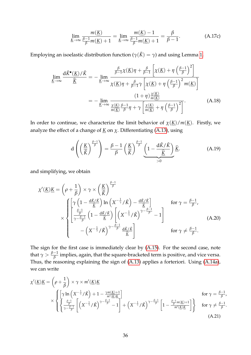$$
\lim_{\underline{K}\to\infty}\frac{m(\underline{K})}{\frac{\beta-1}{\beta}m(\underline{K})+1}=\lim_{\underline{K}\to\infty}\frac{m(\underline{K})-1}{\frac{\beta-1}{\beta}m(\underline{K})+1}=\frac{\beta}{\beta-1}.
$$
\n(A.17c)

Employing an isoelastic distribution function ( $\gamma(\check{K}) = \gamma$ ) and using Lemma [1,](#page-21-0)

$$
\lim_{K \to \infty} \frac{d\check{K}^{\bullet}(\underline{K})/\check{K}}{\hat{K}} = -\lim_{K \to \infty} \frac{\frac{\beta}{\beta - 1}\chi(\underline{K})\eta + \frac{\beta}{\beta - 1}\left[\chi(\underline{K}) + \eta\left(\frac{\beta - 1}{\beta}\right)^{2}\right]}{\chi(\underline{K})\eta + \frac{\beta}{\beta - 1}\gamma\left[\chi(\underline{K}) + \eta\left(\frac{\beta - 1}{\beta}\right)^{2}m(\underline{K})\right]}
$$

$$
= -\lim_{K \to \infty} \frac{(1 + \eta)\frac{\chi(\underline{K})}{m(\underline{K})}}{\frac{\chi(\underline{K})}{m(\underline{K})}\frac{\beta - 1}{\beta}\eta + \gamma\left[\frac{\chi(\underline{K})}{m(\underline{K})} + \eta\left(\frac{\beta - 1}{\beta}\right)^{2}\right]}.
$$
(A.18)

In order to continue, we characterize the limit behavior of  $\chi(\underline{K})/m(\underline{K})$ . Firstly, we analyze the effect of a change of  $\underline{K}$  on  $\chi$ . Differentiating [\(A.13\)](#page-35-2), using

<span id="page-37-1"></span>
$$
d\left(\left(\frac{\underline{K}}{\check{K}}\right)^{\frac{\beta-1}{\beta}}\right) = \frac{\beta-1}{\beta}\left(\frac{\underline{K}}{\check{K}}\right)^{\frac{\beta-1}{\beta}}\underbrace{\left(1-\frac{d\check{K}/\check{K}}{\hat{K}}\right)}_{>0}\widehat{\underline{K}}.\tag{A.19}
$$

and simplifying, we obtain

$$
\chi'(\underline{K})\underline{K} = \left(\rho + \frac{1}{\beta}\right) \times \gamma \times \left(\frac{\underline{K}}{\tilde{K}}\right)^{\frac{\beta-1}{\beta}} \times \begin{cases}\n\left[\gamma \left(1 - \frac{d\check{K}/\check{K}}{\tilde{K}}\right) \ln \left(X^{-\frac{1}{\gamma}}/\check{K}\right) - \frac{d\check{K}/\check{K}}{\tilde{K}}\right] & \text{for } \gamma = \frac{\beta-1}{\beta}, \\
\left[\frac{\frac{\beta-1}{\beta}}{\gamma - \frac{\beta-1}{\beta}} \left(1 - \frac{d\check{K}/\check{K}}{\tilde{K}}\right) \left[\left(X^{-\frac{1}{\gamma}}/\check{K}\right)^{\gamma - \frac{\beta-1}{\beta}} - 1\right] & \text{for } \gamma \neq \frac{\beta-1}{\beta}.\n\end{cases}
$$
\n(A.20)

The sign for the first case is immediately clear by [\(A.15\)](#page-36-1). For the second case, note that  $\gamma > \frac{\beta - 1}{\beta}$  $\frac{\overline{P}-1}{\beta}$  implies*,* again, that the square-bracketed term is positive, and vice versa. Thus, the reasoning explaining the sign of  $(A.13)$  applies a forteriori. Using  $(A.14a)$ , we can write

<span id="page-37-0"></span>
$$
\chi'(\underline{K})\underline{K} = \left(\rho + \frac{1}{\beta}\right) \times \gamma \times m'(\underline{K})\underline{K}
$$
\n
$$
\times \left\{ \left[ \gamma \ln \left( X^{-\frac{1}{\gamma}} / \check{K} \right) + 1 - \frac{\gamma m(\underline{K}) + 1}{m'(\underline{K})\underline{K}} \right] \text{ for } \gamma = \frac{\beta - 1}{\beta},
$$
\n
$$
\times \left\{ \left\{ \frac{\frac{\beta - 1}{\beta}}{\gamma - \frac{\beta - 1}{\beta}} \left[ \left( X^{-\frac{1}{\gamma}} / \check{K} \right)^{\gamma - \frac{\beta - 1}{\beta}} - 1 \right] + \left( X^{-\frac{1}{\gamma}} / \check{K} \right)^{\gamma - \frac{\beta - 1}{\beta}} \left[ 1 - \frac{\frac{\beta - 1}{\beta} m(\underline{K}) + 1}{m'(\underline{K})\underline{K}} \right] \right\} \text{ for } \gamma \neq \frac{\beta - 1}{\beta}.
$$
\n(A.21)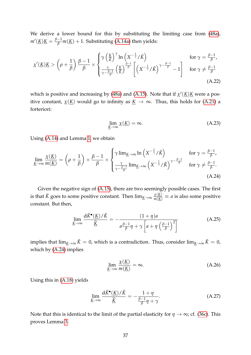We derive a lower bound for this by substituting the limiting case from [\(48a\)](#page-21-2),  $m'(\underline{K})\underline{K} = \frac{\beta-1}{\beta}m(\underline{K}) + 1.$  Substituting [\(A.14a\)](#page-36-2) then yields:

$$
\chi'(\underline{K})\underline{K} > \left(\rho + \frac{1}{\beta}\right) \frac{\beta - 1}{\beta} \times \begin{cases} \gamma \left(\frac{\underline{K}}{\tilde{K}}\right)^{\gamma} \ln\left(X^{-\frac{1}{\gamma}} / \check{K}\right) & \text{for } \gamma = \frac{\beta - 1}{\beta}, \\ \frac{\gamma}{\gamma - \frac{\beta - 1}{\beta}} \left(\frac{\underline{K}}{\tilde{K}}\right)^{\frac{\beta - 1}{\beta}} \left[\left(X^{-\frac{1}{\gamma}} / \check{K}\right)^{\gamma - \frac{\beta - 1}{\beta}} - 1\right] & \text{for } \gamma \neq \frac{\beta - 1}{\beta} \end{cases}
$$
\n(A.22)

which is positive and increasing by [\(48a\)](#page-21-2) and [\(A.15\)](#page-36-1). Note that if  $\chi'(\underline{K})\underline{K}$  were a positive constant,  $\chi(\underline{K})$  would go to infinity as  $\underline{K} \to \infty$ . Thus, this holds for [\(A.21\)](#page-37-0) a forteriori:

<span id="page-38-0"></span>
$$
\lim_{\underline{K}\to\infty} \chi(\underline{K}) = \infty. \tag{A.23}
$$

Using [\(A.14\)](#page-36-3) and Lemma [1,](#page-21-0) we obtain

$$
\lim_{\underline{K}\to\infty} \frac{\chi(\underline{K})}{m(\underline{K})} = \left(\rho + \frac{1}{\beta}\right) \times \frac{\beta - 1}{\beta} \times \begin{cases} \gamma \lim_{\underline{K}\to\infty} \ln\left(X^{-\frac{1}{\gamma}}/\check{K}\right) & \text{for } \gamma = \frac{\beta - 1}{\beta}, \\ \frac{\gamma}{\gamma - \frac{\beta - 1}{\beta}} \lim_{\underline{K}\to\infty} \left(X^{-\frac{1}{\gamma}}/\check{K}\right)^{\gamma - \frac{\beta - 1}{\beta}} & \text{for } \gamma \neq \frac{\beta - 1}{\beta}. \end{cases}
$$
\n(A.24)

Given the negative sign of [\(A.15\)](#page-36-1), there are two seemingly possible cases. The first is that  $\breve{K}$  goes to some positive constant. Then  $\lim_{\underline{K}\to\infty}\frac{\chi(\underline{K})}{m(\underline{K})}\equiv a$  is also some positive constant. But then,

$$
\lim_{\underline{K}\to\infty} \frac{d\check{K}^{\bullet}(\underline{K})/\check{K}}{\hat{K}} = -\frac{(1+\eta)a}{a\frac{\beta-1}{\beta}\eta + \gamma\left[a + \eta\left(\frac{\beta-1}{\beta}\right)^2\right]}
$$
(A.25)

implies that  $\lim_{K\to\infty} \check{K} = 0$ , which is a contradiction. Thus, consider  $\lim_{K\to\infty} \check{K} = 0$ , which by [\(A.24\)](#page-38-0) implies

<span id="page-38-1"></span>
$$
\lim_{\underline{K}\to\infty} \frac{\chi(\underline{K})}{m(\underline{K})} = \infty.
$$
\n(A.26)

Using this in [\(A.18\)](#page-37-1) yields

$$
\lim_{\underline{K}\to\infty} \frac{\mathrm{d}\check{K}^{\bullet}(\underline{K})/\check{K}}{\hat{\underline{K}}} = -\frac{1+\eta}{\frac{\beta-1}{\beta}\eta+\gamma}.
$$
\n(A.27)

Note that this is identical to the limit of the partial elasticity for  $\eta \to \infty$ ; cf. [\(36c\)](#page-17-5). This proves Lemma [3.](#page-24-0)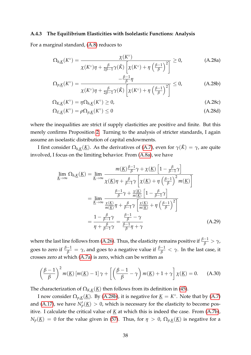#### <span id="page-39-0"></span>**A.4.3 The Equilibrium Elasticities with Isolelastic Functions: Analysis**

For a marginal standard, [\(A.8\)](#page-33-2) reduces to

$$
\Omega_{h,\underline{K}}(K^{\circ}) = \frac{\chi(K^{\circ})}{\chi(K^{\circ})\eta + \frac{\beta}{2\beta - 1}\gamma(\check{K})\left[\chi(K^{\circ}) + \eta\left(\frac{\beta - 1}{\beta}\right)^2\right]} \ge 0,
$$
\n(A.28a)

<span id="page-39-1"></span>
$$
\Omega_{p,\underline{K}}(K^{\circ}) = \frac{-\frac{\beta-1}{\beta}\eta}{\chi(K^{\circ})\eta + \frac{\beta}{2\beta-1}\gamma(\check{K})\left[\chi(K^{\circ}) + \eta\left(\frac{\beta-1}{\beta}\right)^2\right]} \leq 0,
$$
\n(A.28b)

$$
\Omega_{K,\underline{K}}(K^{\circ}) = \eta \Omega_{h,\underline{K}}(K^{\circ}) \ge 0, \tag{A.28c}
$$

$$
\Omega_{E,\underline{K}}(K^{\circ}) = \rho \Omega_{p,\underline{K}}(K^{\circ}) \le 0 \tag{A.28d}
$$

where the inequalities are strict if supply elasticities are positive and finite. But this merely confirms Proposition [2.](#page-22-1) Turning to the analysis of stricter standards, I again assume an isoelastic distribution of capital endowments.

I first consider  $Ω<sub>h,K</sub>(K)$ . As the derivatives of [\(A.7\)](#page-33-3), even for  $γ(K) = γ$ , are quite involved, I focus on the limiting behavior. From [\(A.8a\)](#page-33-4), we have

$$
\lim_{\underline{K}\to\infty} \Omega_{h,\underline{K}}(\underline{K}) = \lim_{\underline{K}\to\infty} \frac{m(\underline{K})\frac{\beta-1}{\beta}\gamma + \chi(\underline{K})\left[1 - \frac{\beta}{\beta-1}\gamma\right]}{\chi(\underline{K})\eta + \frac{\beta}{\beta-1}\gamma\left[\chi(\underline{K}) + \eta\left(\frac{\beta-1}{\beta}\right)^2 m(\underline{K})\right]}
$$

$$
= \lim_{\underline{K}\to\infty} \frac{\frac{\beta-1}{\beta}\gamma + \chi(\underline{K})}{\chi(\underline{K})\eta + \frac{\beta}{\beta-1}\gamma\left[\frac{\chi(\underline{K})}{m(\underline{K})} + \eta\left(\frac{\beta-1}{\beta}\right)^2\right]}
$$

$$
= \frac{1 - \frac{\beta}{\beta-1}\gamma}{\eta + \frac{\beta}{\beta-1}\gamma} = \frac{\frac{\beta-1}{\beta} - \gamma}{\frac{\beta-1}{\beta}\eta + \gamma}
$$
(A.29)

where the last line follows from [\(A.26\)](#page-38-1). Thus, the elasticity remains positive if *<sup>β</sup>*−<sup>1</sup> *<sup>β</sup>* > *<sup>γ</sup>*, goes to zero if  $\frac{\beta-1}{\beta}=\gamma$ , and goes to a negative value if  $\frac{\beta-1}{\beta}<\gamma$ . In the last case, it crosses zero at which [\(A.7a\)](#page-33-5) is zero, which can be written as

$$
\left(\frac{\beta-1}{\beta}\right)^2 m(\underline{K}) \left[m(\underline{K})-1\right] \gamma + \left[\left(\frac{\beta-1}{\beta}-\gamma\right) m(\underline{K})+1+\gamma\right] \chi(\underline{K}) = 0. \tag{A.30}
$$

The characterization of  $\Omega_{K,K}(\underline{K})$  then follows from its definition in [\(45\)](#page-20-1).

I now consider  $\Omega_{p,K}(\underline{K})$ . By [\(A.28b\)](#page-39-1), it is negative for  $\underline{K} = K^{\circ}$ . Note that by [\(A.7\)](#page-33-3) and [\(A.17\)](#page-36-4), we have  $N'_p(\underline{K}) > 0$ , which is necessary for the elasticity to become positive. I calculate the critical value of *K* at which this is indeed the case. From [\(A.7b\)](#page-33-6),  $N_p(\underline{K}) = 0$  for the value given in [\(57\)](#page-25-1). Thus, for  $\eta > 0$ ,  $\Omega_{p,\underline{K}}(\underline{K})$  is negative for a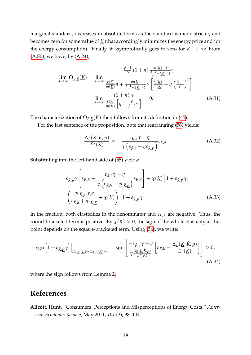marginal standard, decreases in absolute terms as the standard is made stricter, and becomes zero for some value of *K* (that accordingly minimizes the energy price and/or the energy consumption). Finally, it asymptotically goes to zero for  $K \to \infty$ : From [\(A.8b\)](#page-33-7), we have, by [\(A.24\)](#page-38-0),

$$
\lim_{\underline{K}\to\infty} \Omega_{p,\underline{K}}(\underline{K}) = \lim_{\underline{K}\to\infty} \frac{\frac{\beta-1}{\beta} (1+\eta) \frac{m(\underline{K})-1}{\frac{\beta-1}{\beta} m(\underline{K})+1} \gamma}{\frac{m(\underline{K})}{m(\underline{K})} \eta + \frac{m(\underline{K})}{\frac{\beta-1}{\beta} m(\underline{K})+1} \gamma \left[ \frac{\chi(\underline{K})}{m(\underline{K})} + \eta \left( \frac{\beta-1}{\beta} \right)^2 \right]}
$$
\n
$$
= \lim_{\underline{K}\to\infty} \frac{(1+\eta) \gamma}{\frac{\chi(\underline{K})}{m(\underline{K})} \left[ \eta + \frac{\beta}{\beta-1} \gamma \right]} = 0.
$$
\n(A.31)

The characterization of  $\Omega_{E,K}(\underline{K})$  then follows from its definition in [\(45\)](#page-20-1).

For the last sentence of the proposition, note that rearranging [\(56\)](#page-25-0) yields:

$$
\frac{\Delta_E(\underline{K}, \check{K}, p)}{E^*(\underline{K})} = -\frac{\varepsilon_{\check{K},h}\gamma - \eta}{\gamma \left(\varepsilon_{\check{K},h} + \eta \varepsilon_{\check{K},\underline{K}}\right)} \varepsilon_{E,K}
$$
(A.32)

Substituting into the left-hand side of [\(55\)](#page-24-3) yields:

$$
\varepsilon_{\check{K},p}\gamma\left[\varepsilon_{E,K} - \frac{\varepsilon_{\check{K},h}\gamma - \eta}{\gamma\left(\varepsilon_{\check{K},h} + \eta\varepsilon_{\check{K},K}\right)}\varepsilon_{E,K}\right] + \chi(\underline{K})\left[1 + \varepsilon_{\check{K},K}\gamma\right]
$$
\n
$$
= \left(\frac{\eta\varepsilon_{\check{K},p}\varepsilon_{E,K}}{\varepsilon_{\check{K},h} + \eta\varepsilon_{\check{K},K}} + \chi(\underline{K})\right)\left[1 + \varepsilon_{\check{K},K}\gamma\right]
$$
\n(A.33)

In the fraction, both elasticities in the denominator and  $\varepsilon_{E,K}$  are negative. Thus, the round-bracketed term is positive. By  $\chi(\underline{K}) > 0$ , the sign of the whole elasticity at this point depends on the square-bracketed term. Using [\(56\)](#page-25-0), we write:

$$
\operatorname{sgn}\left[1+\varepsilon_{\breve{K},\underbar{K}}\gamma\right]\Big|_{\Omega_{p,\underbar{K}}(\underbar{K})=\Omega_{E,\underbar{K}}(\underbar{K})=0}=\operatorname{sgn}\left[\frac{-\varepsilon_{\breve{K},h}\gamma+\eta}{\eta\frac{\Delta_{E}(\underbar{K},\breve{K},p)}{E^*(\underbar{K})}}\left[\varepsilon_{E,K}+\frac{\Delta_{E}(\underbar{K},\breve{K},p)}{E^*(\underbar{K})}\right]\right]>0,
$$
\n(A.34)

where the sign follows from Lemma [2.](#page-21-1)

## <span id="page-40-0"></span>**References**

<span id="page-40-1"></span>**Allcott, Hunt**, "Consumers' Perceptions and Misperceptions of Energy Costs," *American Economic Review*, May 2011, *101* (3), 98–104.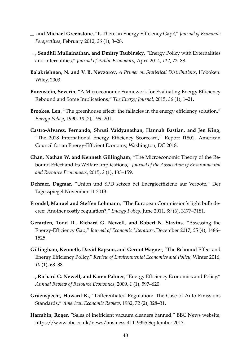- <span id="page-41-11"></span>**and Michael Greenstone**, "Is There an Energy Efficiency Gap?," *Journal of Economic Perspectives*, February 2012, *26* (1), 3–28.
- <span id="page-41-12"></span>**, Sendhil Mullainathan, and Dmitry Taubinsky**, "Energy Policy with Externalities and Internalities," *Journal of Public Economics*, April 2014, *112*, 72–88.
- <span id="page-41-13"></span>**Balakrishnan, N. and V. B. Nevzorov**, *A Primer on Statistical Distributions*, Hoboken: Wiley, 2003.
- <span id="page-41-7"></span>**Borenstein, Severin**, "A Microeconomic Framework for Evaluating Energy Efficiency Rebound and Some Implications," *The Energy Journal*, 2015, *36* (1), 1–21.
- <span id="page-41-5"></span>**Brookes, Len**, "The greenhouse effect: the fallacies in the energy efficiency solution," *Energy Policy*, 1990, *18* (2), 199–201.
- <span id="page-41-3"></span>**Castro-Alvarez, Fernando, Shruti Vaidyanathan, Hannah Bastian, and Jen King**, "The 2018 International Energy Efficiency Scorecard," Report I1801, American Council for an Energy-Efficient Economy, Washington, DC 2018.
- <span id="page-41-8"></span>**Chan, Nathan W. and Kenneth Gillingham**, "The Microeconomic Theory of the Rebound Effect and Its Welfare Implications," *Journal of the Association of Environmental and Resource Economists*, 2015, *2* (1), 133–159.
- <span id="page-41-0"></span>**Dehmer, Dagmar**, "Union und SPD setzen bei Energieeffizienz auf Verbote," Der Tagesspiegel November 11 2013.
- <span id="page-41-2"></span>**Frondel, Manuel and Steffen Lohmann**, "The European Commission's light bulb decree: Another costly regulation?," *Energy Policy*, June 2011, *39* (6), 3177–3181.
- <span id="page-41-10"></span>**Gerarden, Todd D., Richard G. Newell, and Robert N. Stavins**, "Assessing the Energy-Efficiency Gap," *Journal of Economic Literature*, December 2017, *55* (4), 1486– 1525.
- <span id="page-41-9"></span>**Gillingham, Kenneth, David Rapson, and Gernot Wagner**, "The Rebound Effect and Energy Efficiency Policy," *Review of Environmental Economics and Policy*, Winter 2016, *10* (1), 68–88.
- <span id="page-41-6"></span>**, Richard G. Newell, and Karen Palmer**, "Energy Efficiency Economics and Policy," *Annual Review of Resource Economics*, 2009, *1* (1), 597–620.
- <span id="page-41-4"></span>**Gruenspecht, Howard K.**, "Differentiated Regulation: The Case of Auto Emissions Standards," *American Economic Review*, 1982, *72* (2), 328–31.
- <span id="page-41-1"></span>**Harrabin, Roger**, "Sales of inefficient vacuum cleaners banned," BBC News website, https://www.bbc.co.uk/news/business-41119355 September 2017.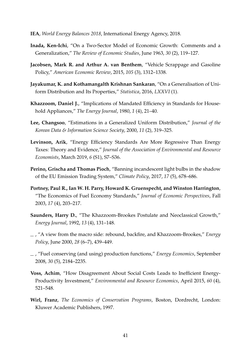- <span id="page-42-0"></span>**IEA**, *World Energy Balances 2018*, International Energy Agency, 2018.
- <span id="page-42-9"></span>**Inada, Ken-Ichi**, "On a Two-Sector Model of Economic Growth: Comments and a Generalization," *The Review of Economic Studies*, June 1963, *30* (2), 119–127.
- <span id="page-42-3"></span>**Jacobsen, Mark R. and Arthur A. van Benthem**, "Vehicle Scrappage and Gasoline Policy," *American Economic Review*, 2015, *105* (3), 1312–1338.
- <span id="page-42-13"></span>**Jayakumar, K. and Kothamangalth Krishnan Sankaran**, "On a Generalisation of Uniform Distribution and Its Properties," *Statistica*, 2016, *LXXVI* (1).
- <span id="page-42-5"></span>**Khazzoom, Daniel J.**, "Implications of Mandated Efficiency in Standards for Household Appliances," *The Energy Journal*, 1980, *1* (4), 21–40.
- <span id="page-42-12"></span>**Lee, Changsoo**, "Estimations in a Generalized Uniform Distribution," *Journal of the Korean Data & Information Science Society*, 2000, *11* (2), 319–325.
- <span id="page-42-4"></span>**Levinson, Arik**, "Energy Efficiency Standards Are More Regressive Than Energy Taxes: Theory and Evidence," *Journal of the Association of Environmental and Resource Economists*, March 2019, *6* (S1), S7–S36.
- <span id="page-42-1"></span>**Perino, Grischa and Thomas Pioch**, "Banning incandescent light bulbs in the shadow of the EU Emission Trading System," *Climate Policy*, 2017, *17* (5), 678–686.
- <span id="page-42-2"></span>**Portney, Paul R., Ian W. H. Parry, Howard K. Gruenspecht, and Winston Harrington**, "The Economics of Fuel Economy Standards," *Journal of Economic Perspectives*, Fall 2003, *17* (4), 203–217.
- <span id="page-42-6"></span>**Saunders, Harry D.**, "The Khazzoom-Brookes Postulate and Neoclassical Growth," *Energy Journal*, 1992, *13* (4), 131–148.
- <span id="page-42-7"></span>, "A view from the macro side: rebound, backfire, and Khazzoom-Brookes," *Energy Policy*, June 2000, *28* (6–7), 439–449.
- <span id="page-42-11"></span>, "Fuel conserving (and using) production functions," *Energy Economics*, September 2008, *30* (5), 2184–2235.
- <span id="page-42-10"></span>**Voss, Achim**, "How Disagreement About Social Costs Leads to Inefficient Energy-Productivity Investment," *Environmental and Resource Economics*, April 2015, *60* (4), 521–548.
- <span id="page-42-8"></span>**Wirl, Franz**, *The Economics of Conservation Programs*, Boston, Dordrecht, London: Kluwer Academic Publishers, 1997.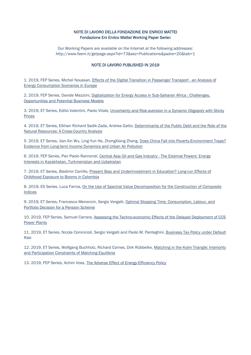#### NOTE DI LAVORO DELLA FONDAZIONE ENI ENRICO MATTEI Fondazione Eni Enrico Mattei Working Paper Series

Our Working Papers are available on the Internet at the following addresses: http://www.feem.it/getpage.aspx?id=73&sez=Publications&padre=20&tab=1

#### NOTE DI LAVORO PUBLISHED IN 2019

1. 2019, FEP Series, Michel Noussan, Effects of the Digital Transition in Passenger Transport - an Analysis of Energy Consumption Scenarios in Europe

2. 2019, FEP Series, Davide Mazzoni, Digitalization for Energy Access in Sub-Saharan Africa : Challenges, Opportunities and Potential Business Models

3. 2019, ET Series, Edilio Valentini, Paolo Vitale, Uncertainty and Risk-aversion in a Dynamic Oligopoly with Sticky Prices

4. 2019, ET Series, Elkhan Richard Sadik-Zada, Andrea Gatto, Determinants of the Public Debt and the Role of the Natural Resources: A Cross-Country Analysis

5. 2019, ET Series, Jian-Xin Wu, Ling-Yun He, ZhongXiang Zhang, Does China Fall into Poverty-Environment Traps? Evidence from Long-term Income Dynamics and Urban Air Pollution

6. 2019, FEP Series, Pier Paolo Raimondi, Central Asia Oil and Gas Industry - The External Powers' Energy Interests in Kazakhstan, Turkmenistan and Uzbekistan

7. 2019, ET Series, Bladimir Carrillo, Present Bias and Underinvestment in Education? Long-run Effects of Childhood Exposure to Booms in Colombia

8. 2019, ES Series, Luca Farnia, On the Use of Spectral Value Decomposition for the Construction of Composite Indices

9. 2019, ET Series, Francesco Menoncin, Sergio Vergalli, Optimal Stopping Time, Consumption, Labour, and Portfolio Decision for a Pension Scheme

10. 2019, FEP Series, Samuel Carrara, Assessing the Techno-economic Effects of the Delayed Deployment of CCS Power Plants

11. 2019, ET Series, Nicola Comincioli, Sergio Vergalli and Paolo M. Panteghini, Business Tax Policy under Default Risk

12. 2019, ET Series, Wolfgang Buchholz, Richard Cornes, Dirk Rübbelke, Matching in the Kolm Triangle: Interiority and Participation Constraints of Matching Equilibria

13. 2019, FEP Series, Achim Voss, The Adverse Effect of Energy-Efficiency Policy